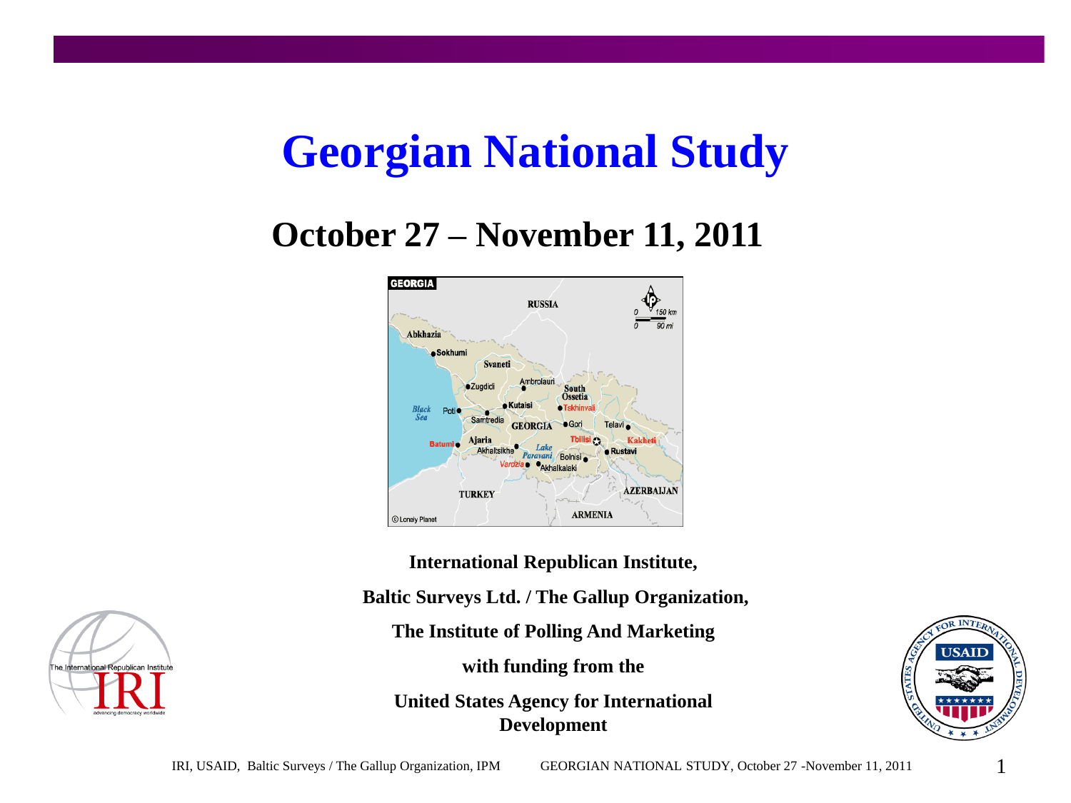# **Georgian National Study**

#### **October 27 – November 11, 2011**



**International Republican Institute,**

**Baltic Surveys Ltd. / The Gallup Organization,**

**The Institute of Polling And Marketing**

**with funding from the**

**United States Agency for International Development**



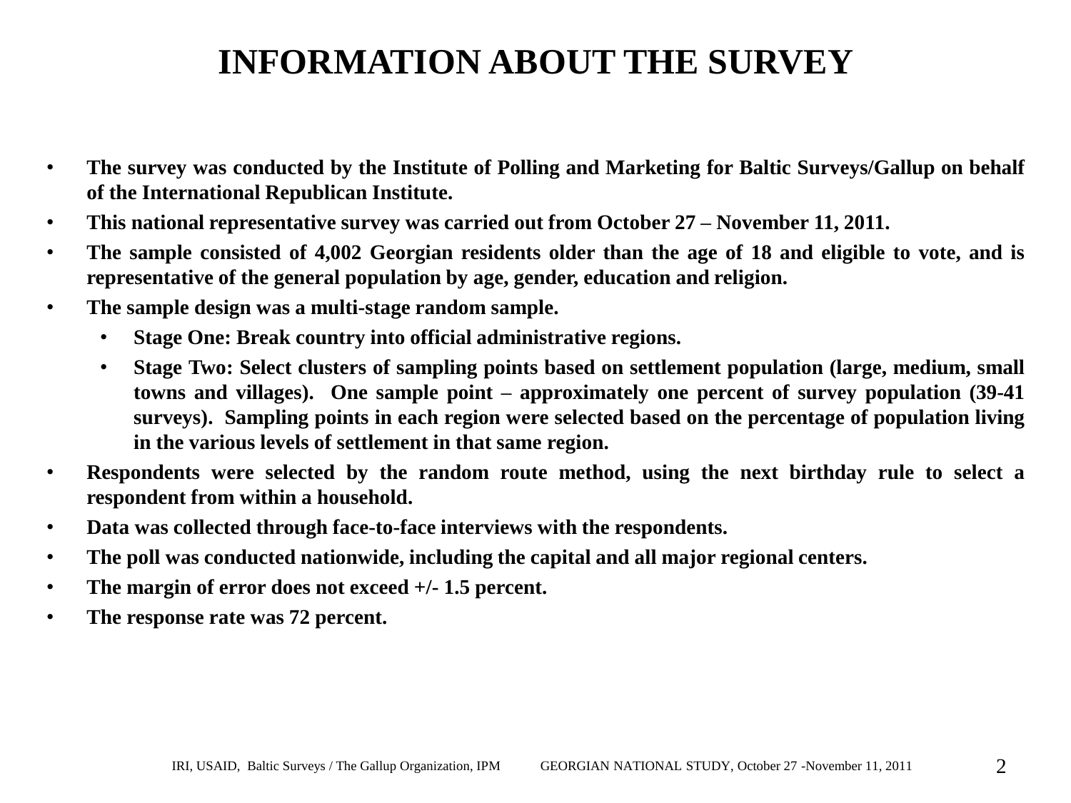### **INFORMATION ABOUT THE SURVEY**

- **The survey was conducted by the Institute of Polling and Marketing for Baltic Surveys/Gallup on behalf of the International Republican Institute.**
- **This national representative survey was carried out from October 27 – November 11, 2011.**
- The sample consisted of 4,002 Georgian residents older than the age of 18 and eligible to vote, and is **representative of the general population by age, gender, education and religion.**
- **The sample design was a multi-stage random sample.**
	- **Stage One: Break country into official administrative regions.**
	- **Stage Two: Select clusters of sampling points based on settlement population (large, medium, small towns and villages). One sample point – approximately one percent of survey population (39-41 surveys). Sampling points in each region were selected based on the percentage of population living in the various levels of settlement in that same region.**
- **Respondents were selected by the random route method, using the next birthday rule to select a respondent from within a household.**
- **Data was collected through face-to-face interviews with the respondents.**
- **The poll was conducted nationwide, including the capital and all major regional centers.**
- **The margin of error does not exceed +/- 1.5 percent.**
- **The response rate was 72 percent.**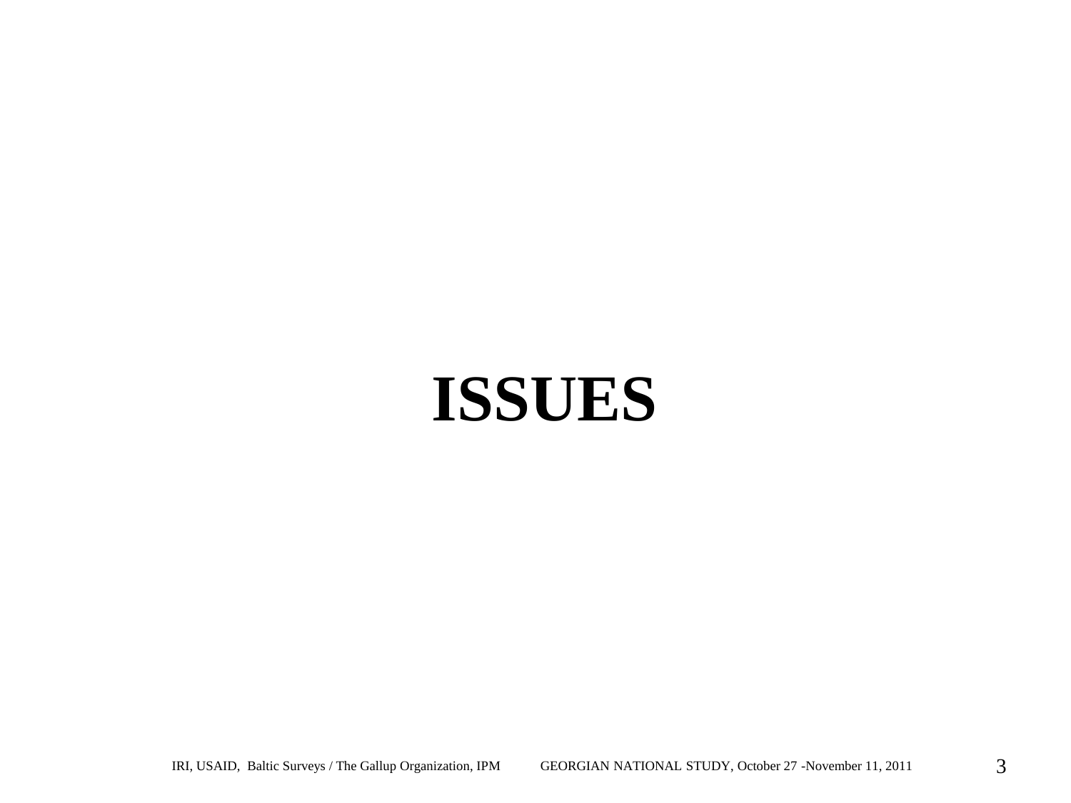# **ISSUES**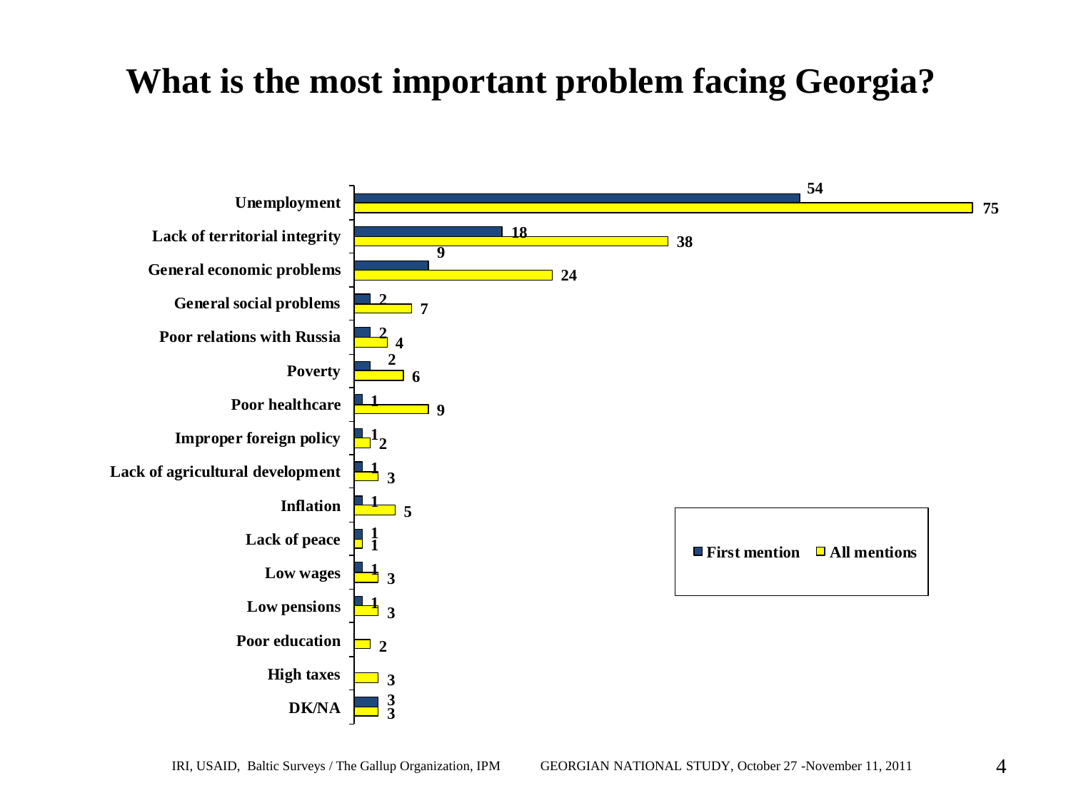#### **What is the most important problem facing Georgia?**

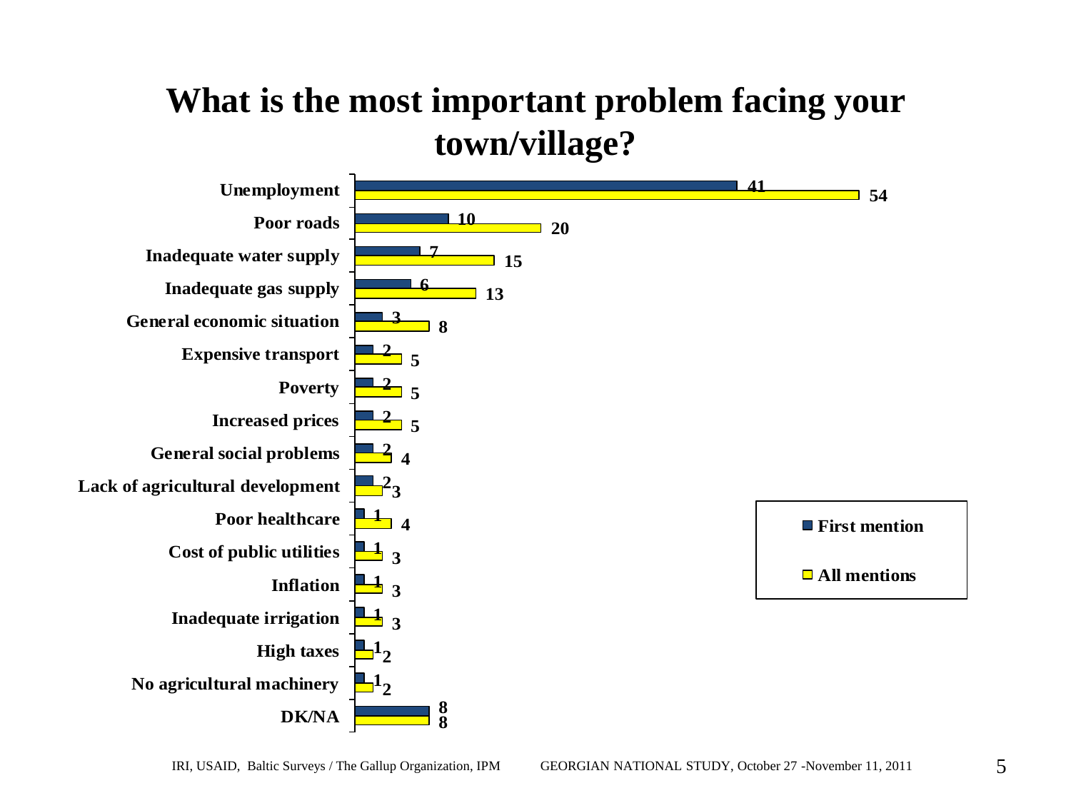#### **What is the most important problem facing your town/village?**

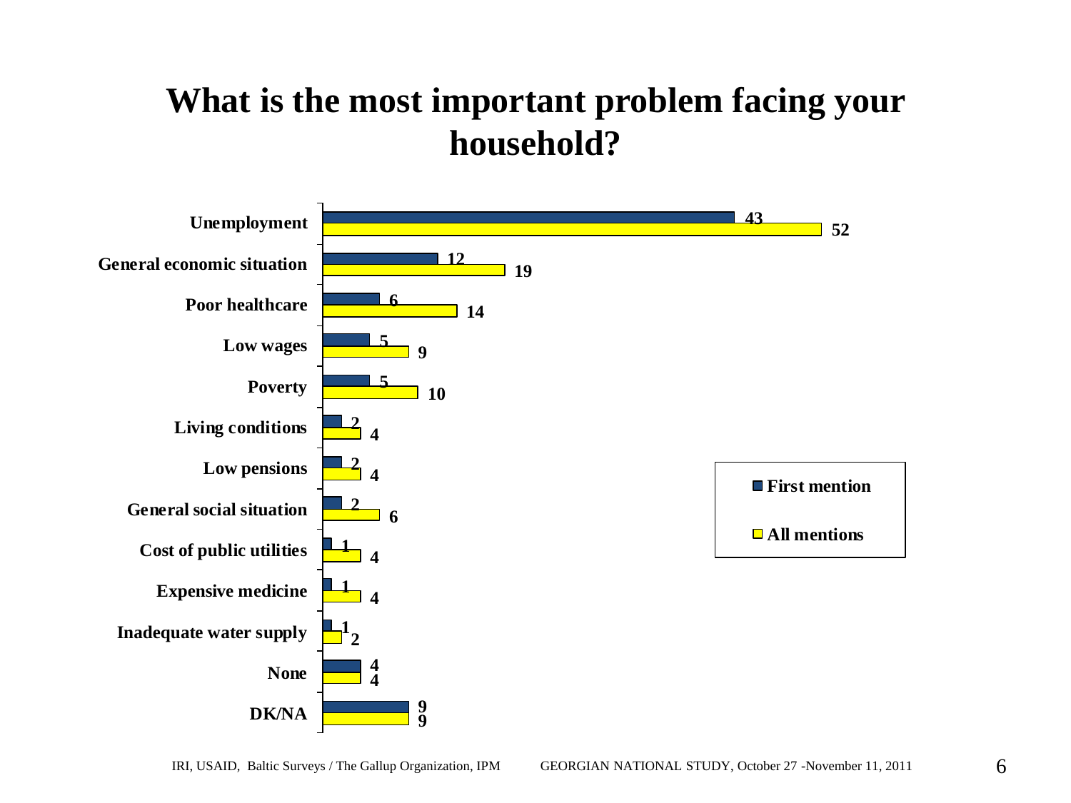#### **What is the most important problem facing your household?**

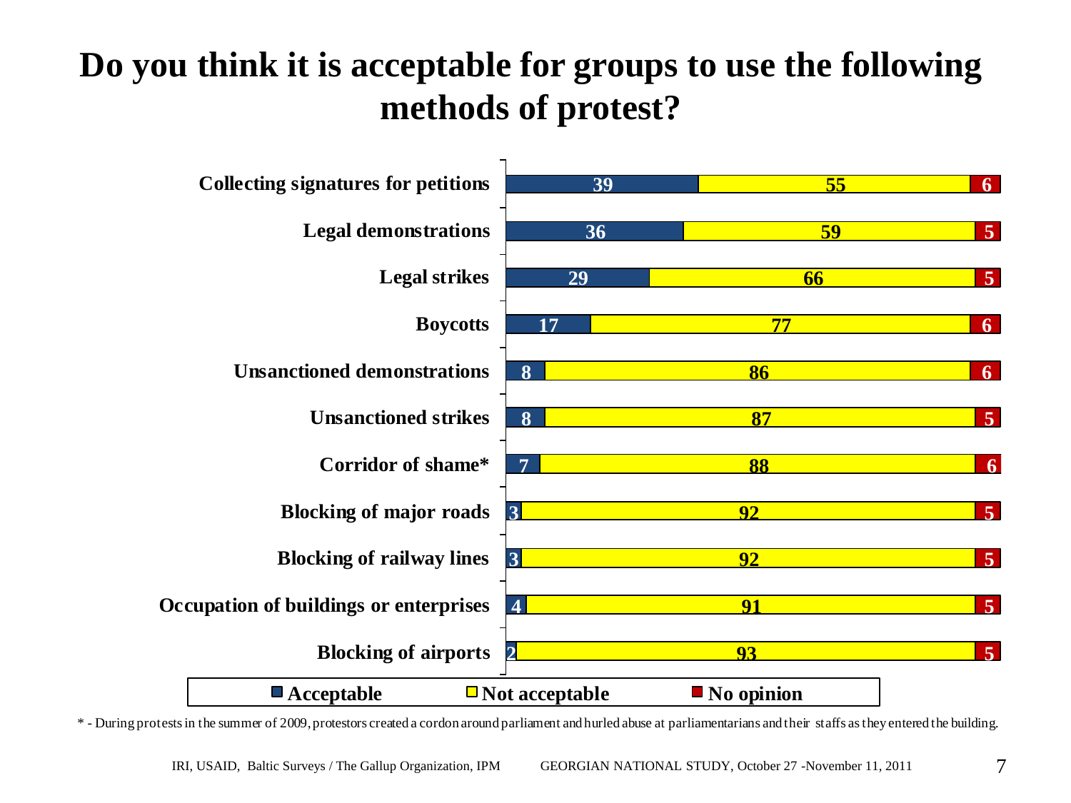### **Do you think it is acceptable for groups to use the following methods of protest?**



\* - During protests in the summer of 2009, protestors created a cordon around parliament and hurled abuse at parliamentarians and their staffs as they entered the building.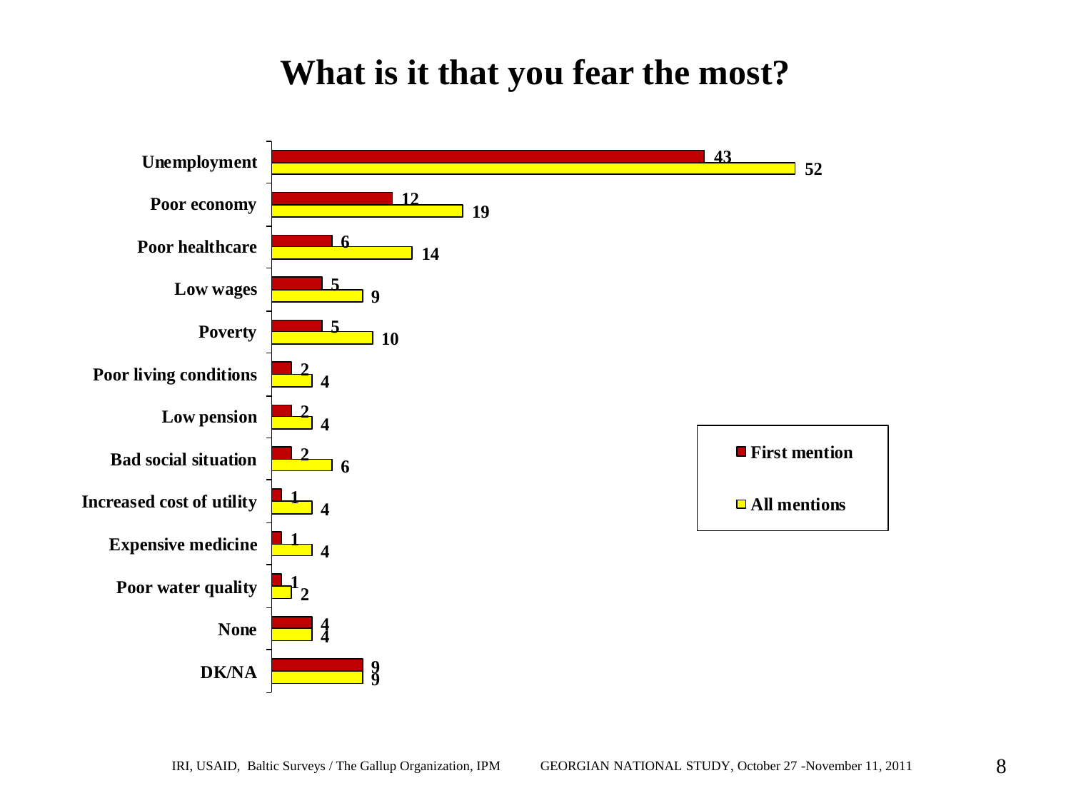#### **What is it that you fear the most?**

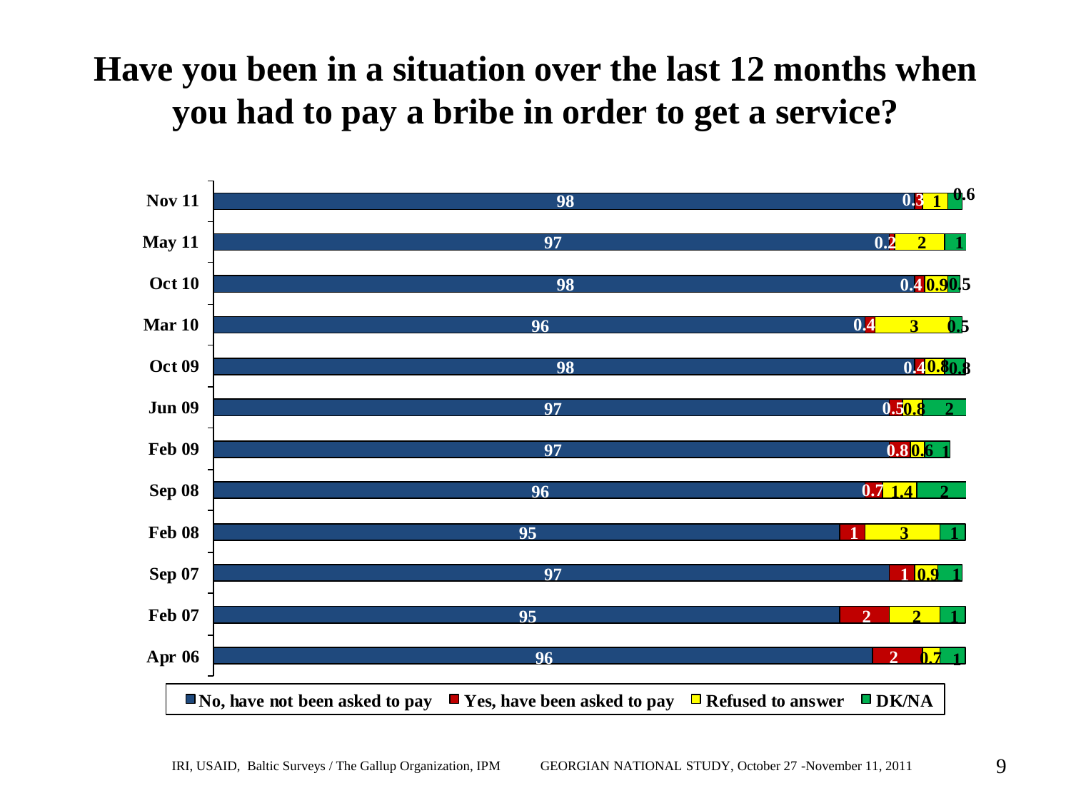### **Have you been in a situation over the last 12 months when you had to pay a bribe in order to get a service?**

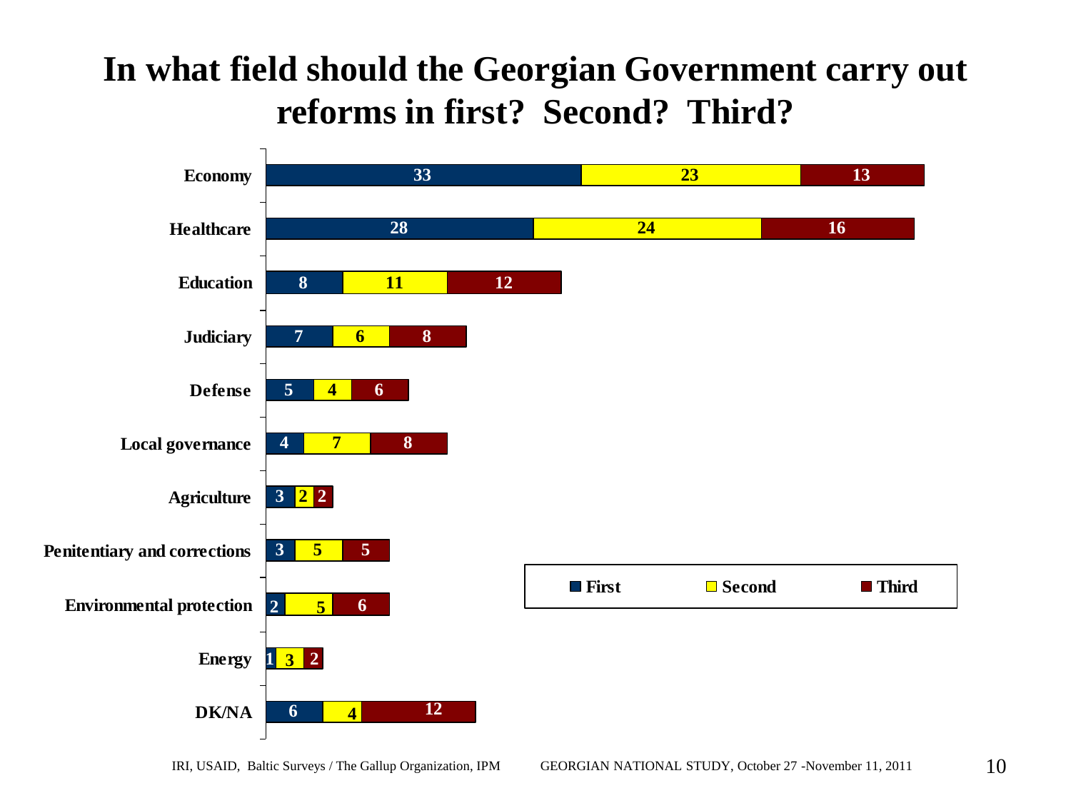#### **In what field should the Georgian Government carry out reforms in first? Second? Third?**

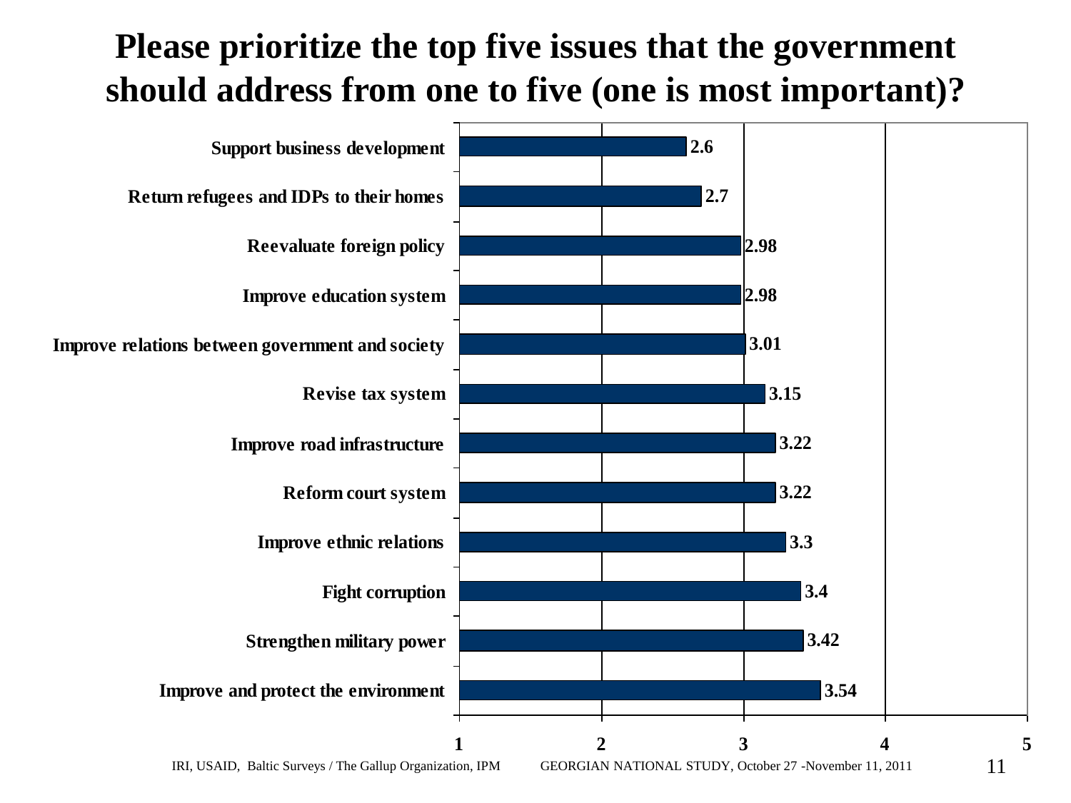#### **Please prioritize the top five issues that the government should address from one to five (one is most important)?**

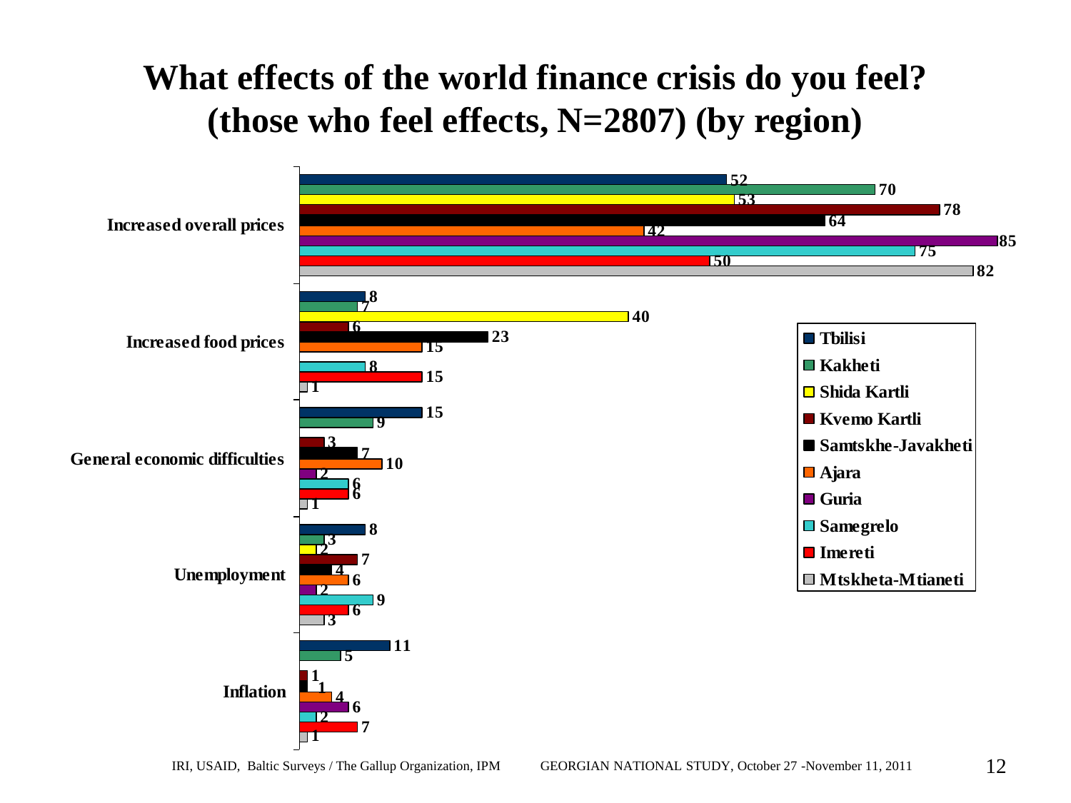# **What effects of the world finance crisis do you feel? (those who feel effects, N=2807) (by region)**  $\frac{1}{2}$ <br>52<br> $\frac{52}{15}$

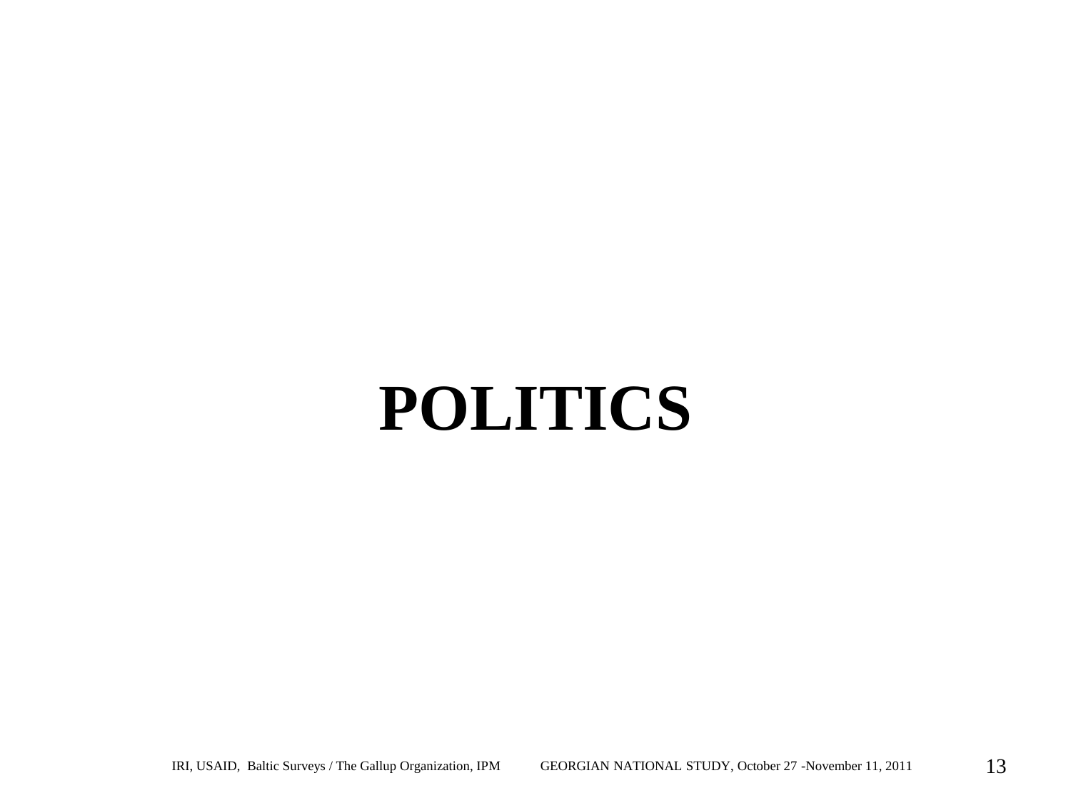# **POLITICS**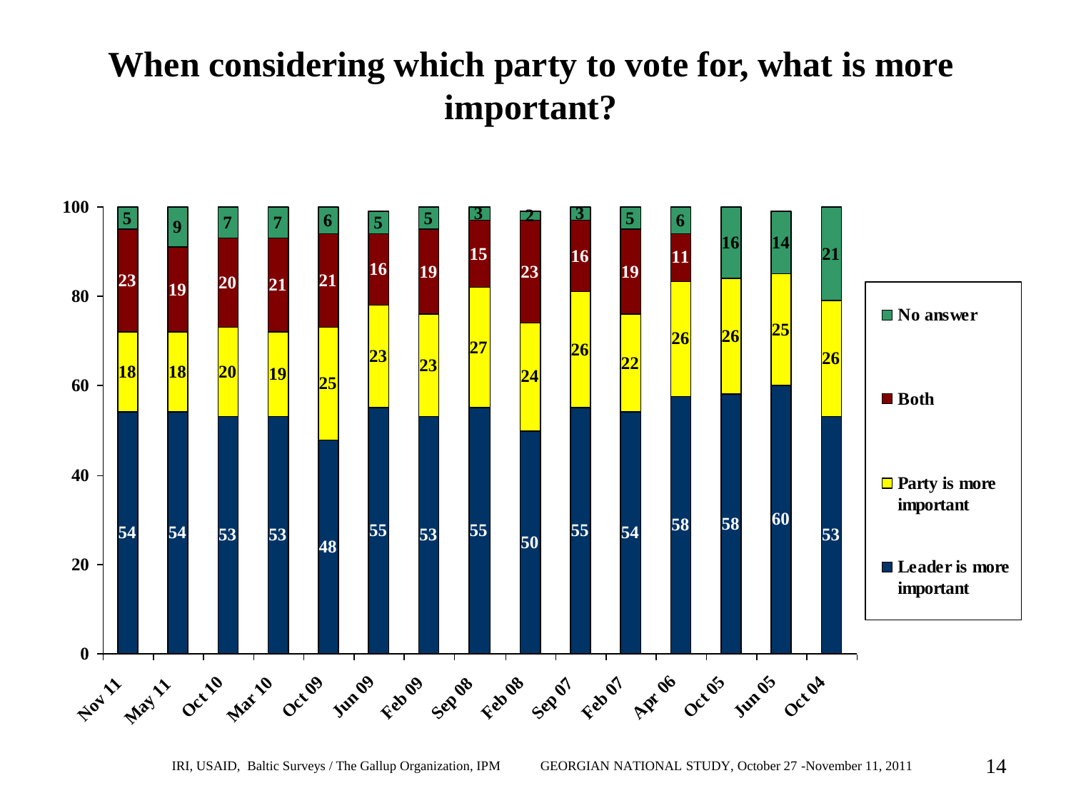#### **When considering which party to vote for, what is more important?**

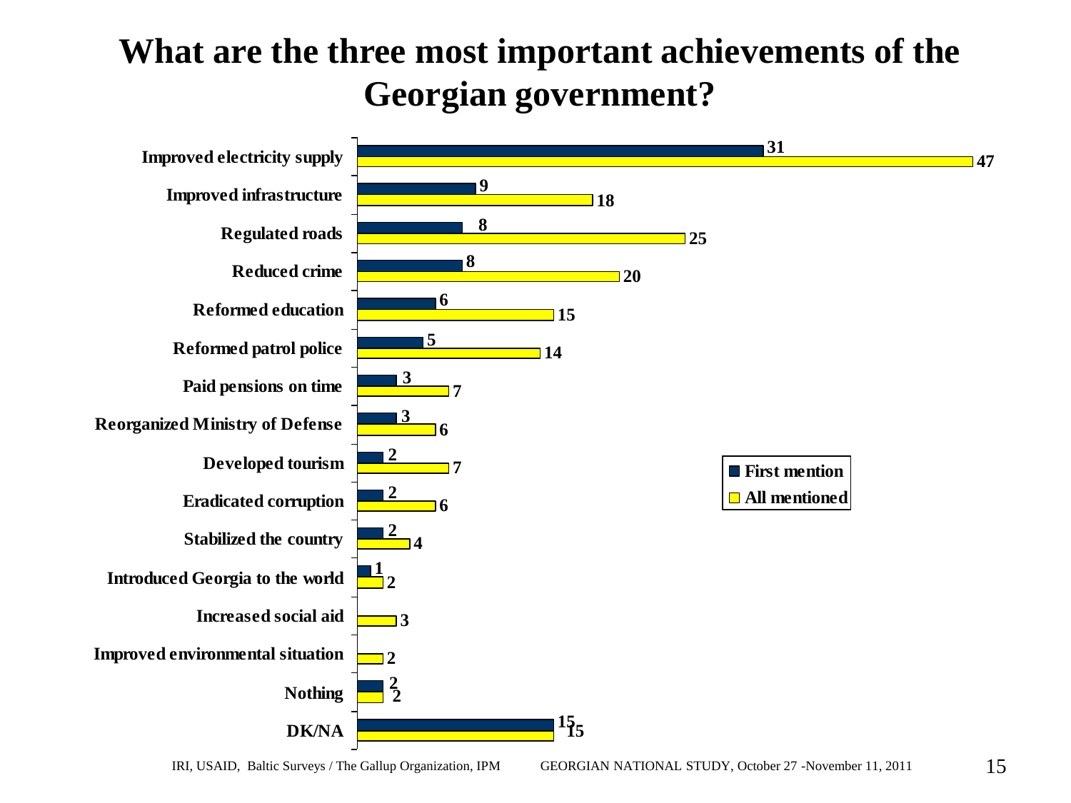# **What are the three most important achievements of the Georgian government?**

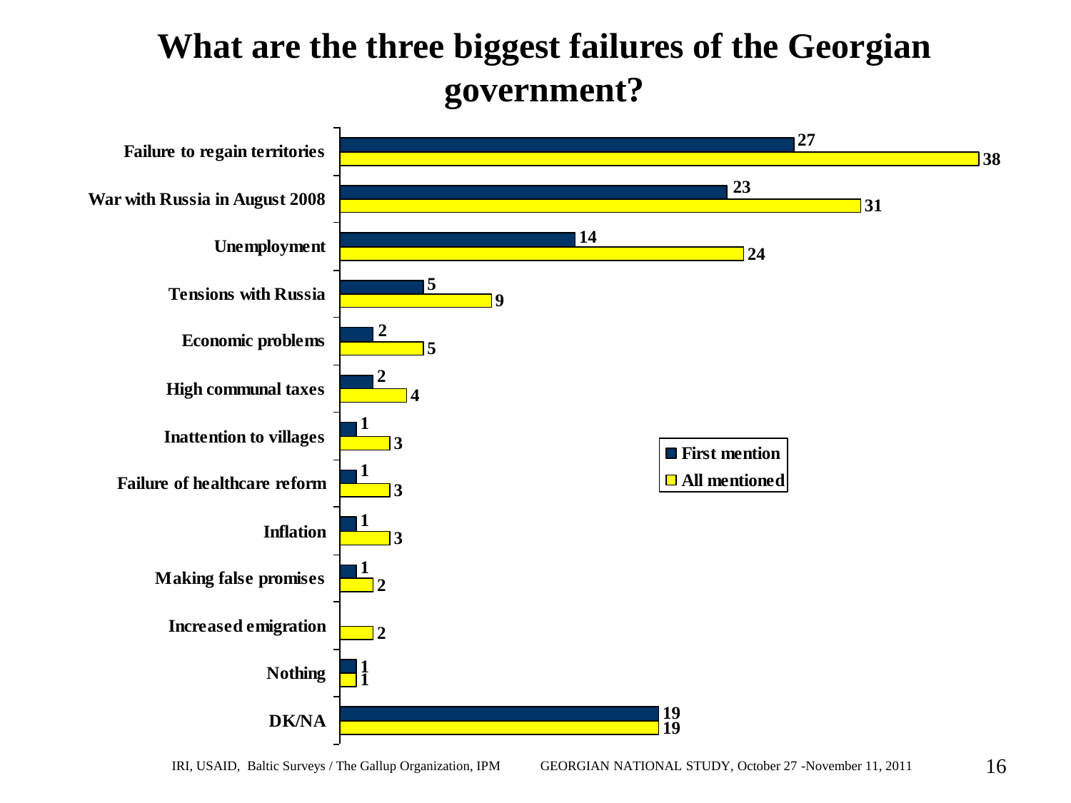#### **What are the three biggest failures of the Georgian government?**

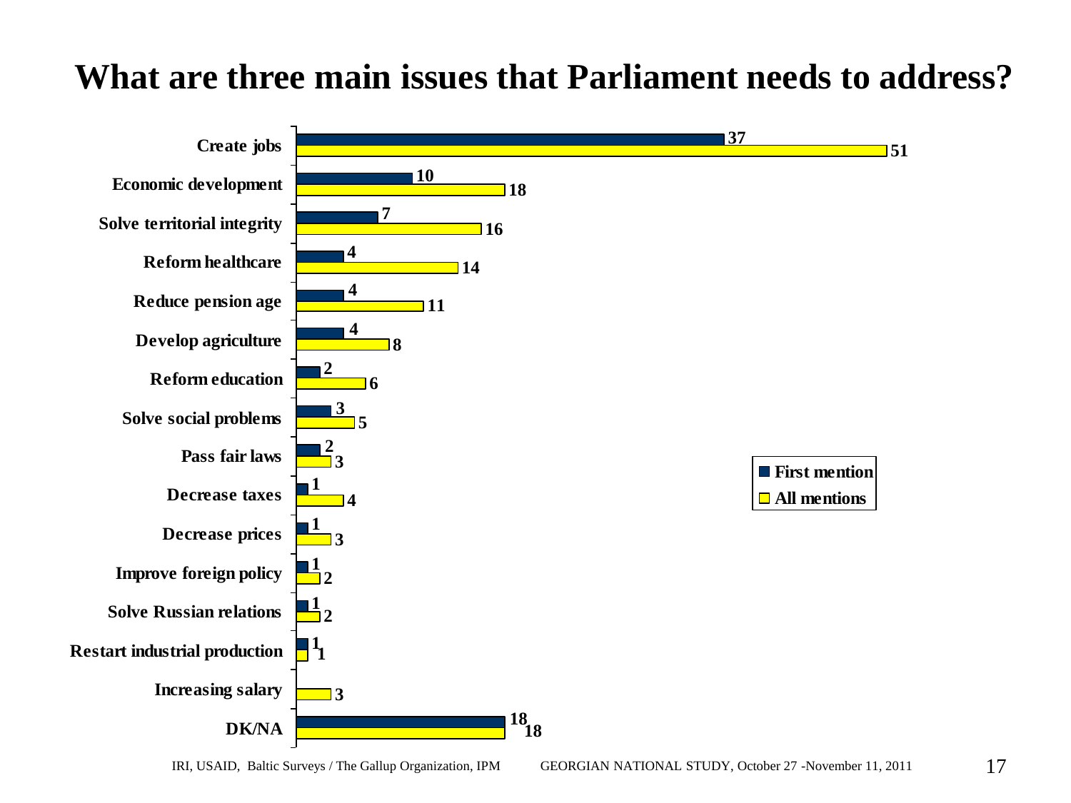#### **What are three main issues that Parliament needs to address?**

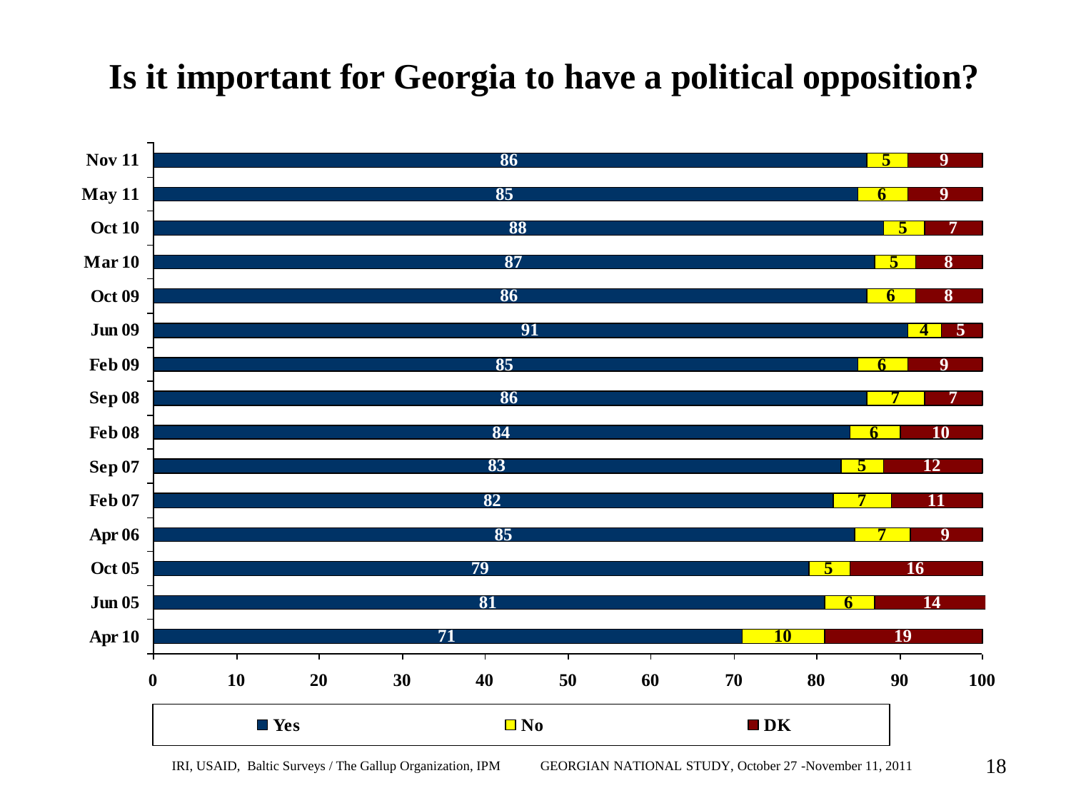# **Is it important for Georgia to have a political opposition?**

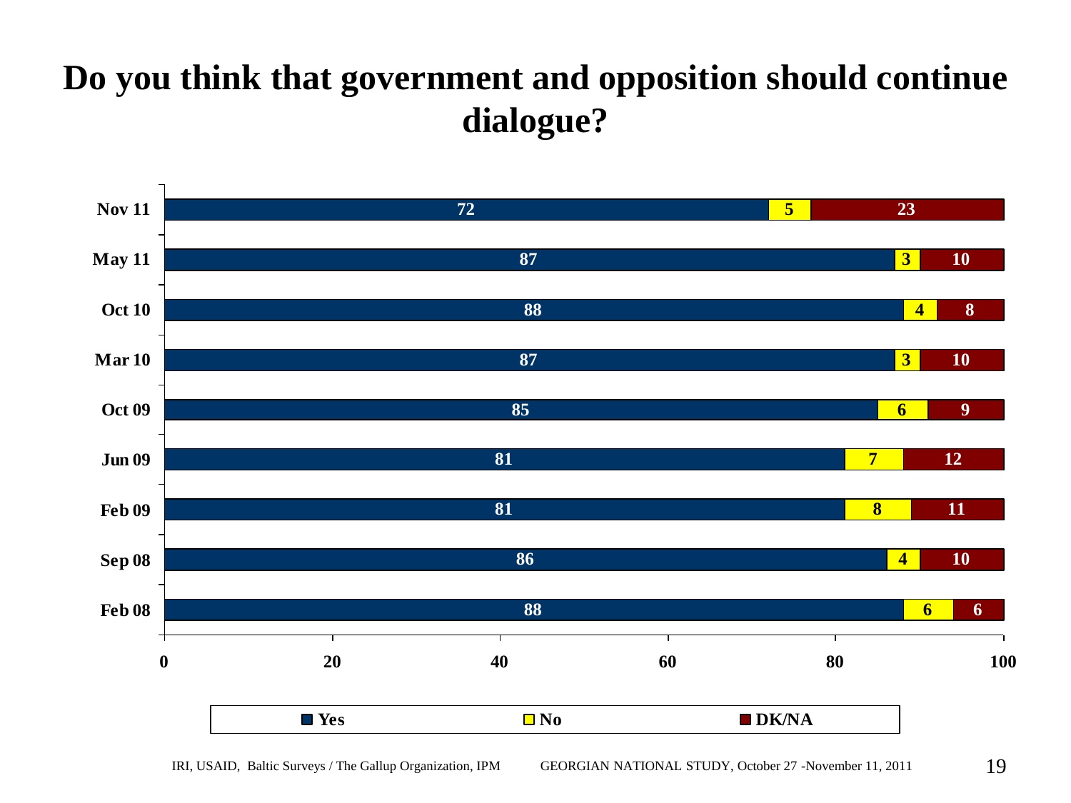### **Do you think that government and opposition should continue dialogue?**

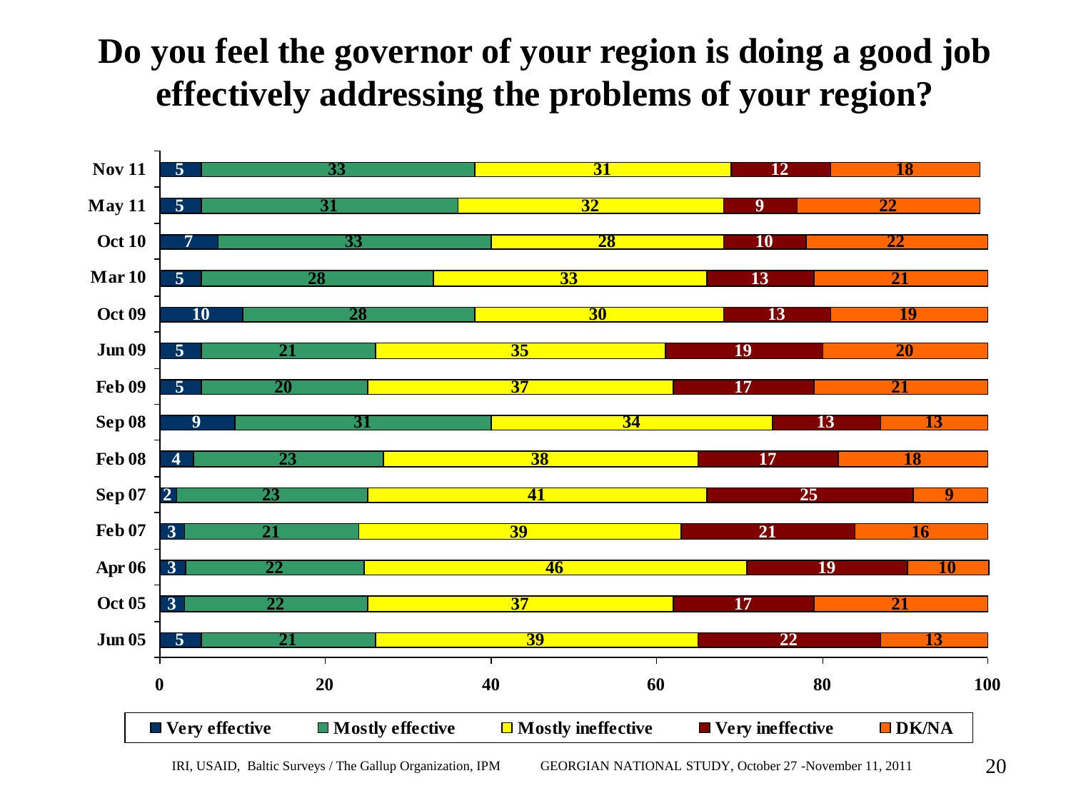### **Do you feel the governor of your region is doing a good job effectively addressing the problems of your region?**

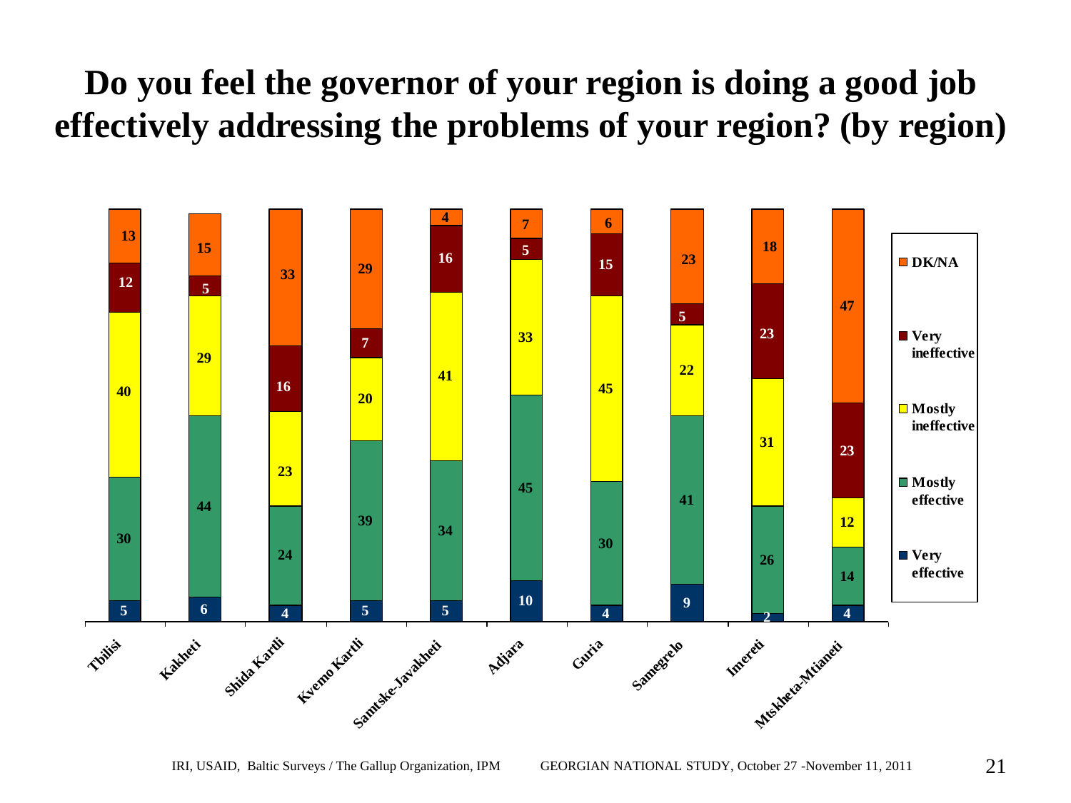#### **Do you feel the governor of your region is doing a good job effectively addressing the problems of your region? (by region)**

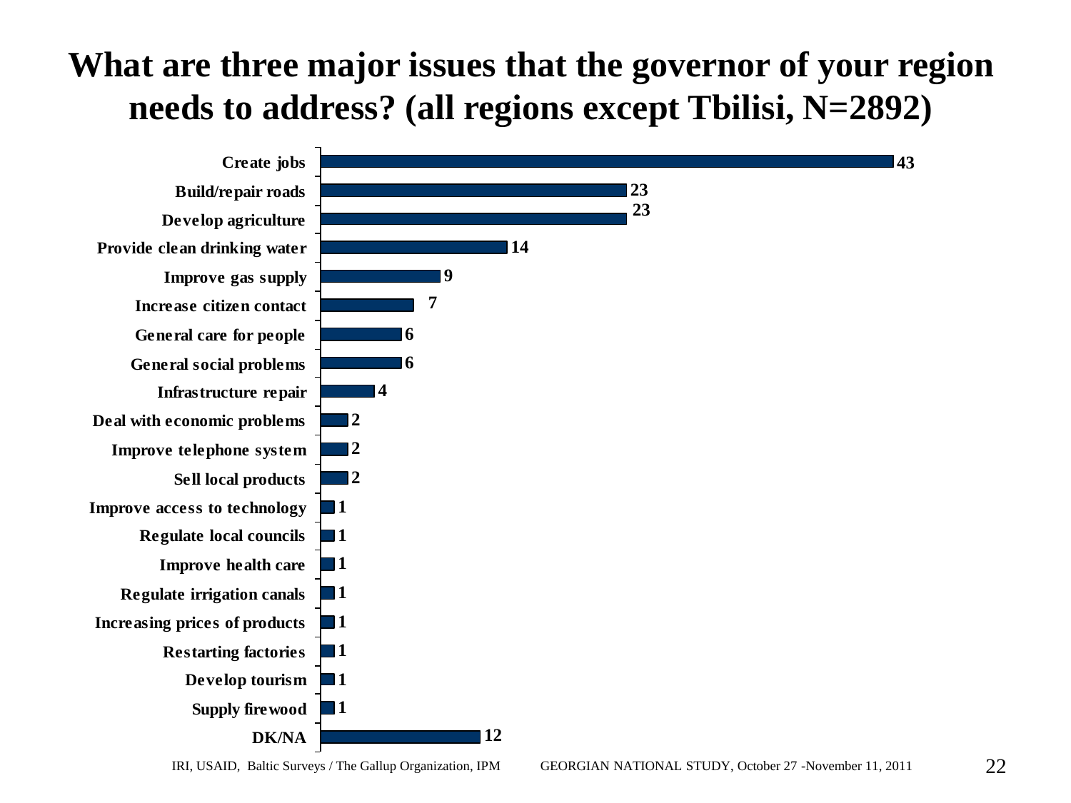## **What are three major issues that the governor of your region needs to address? (all regions except Tbilisi, N=2892)**

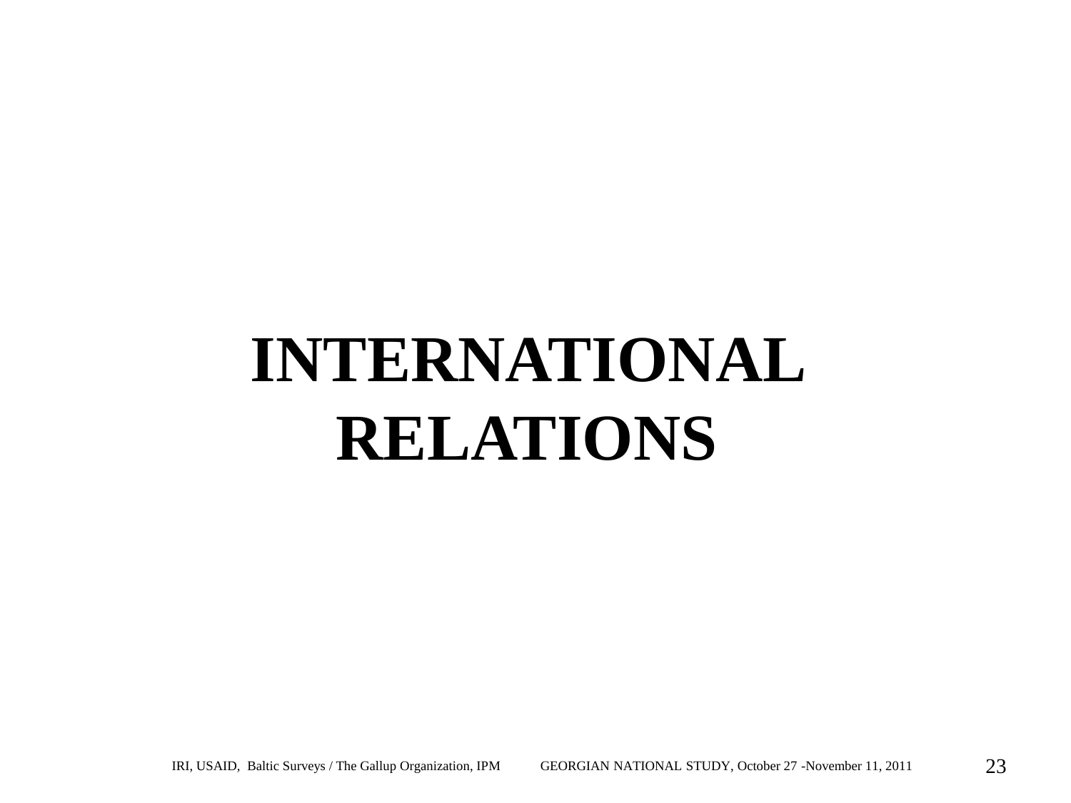# **INTERNATIONAL RELATIONS**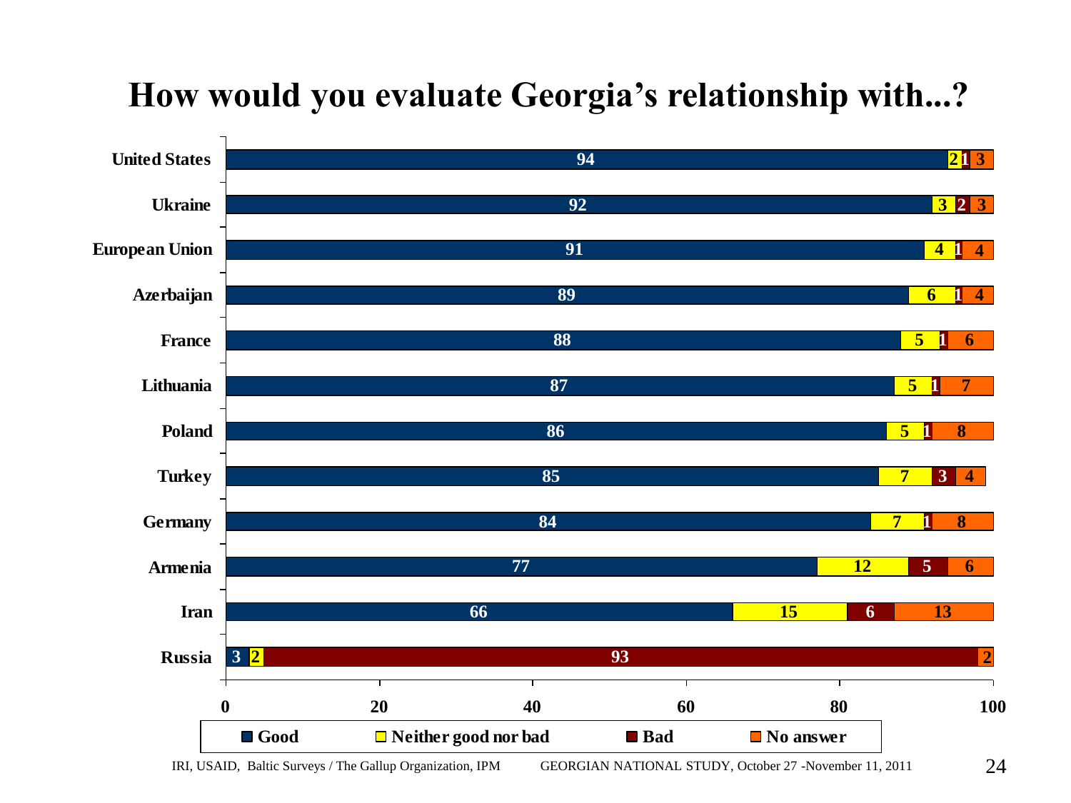

#### **How would you evaluate Georgia's relationship with...?**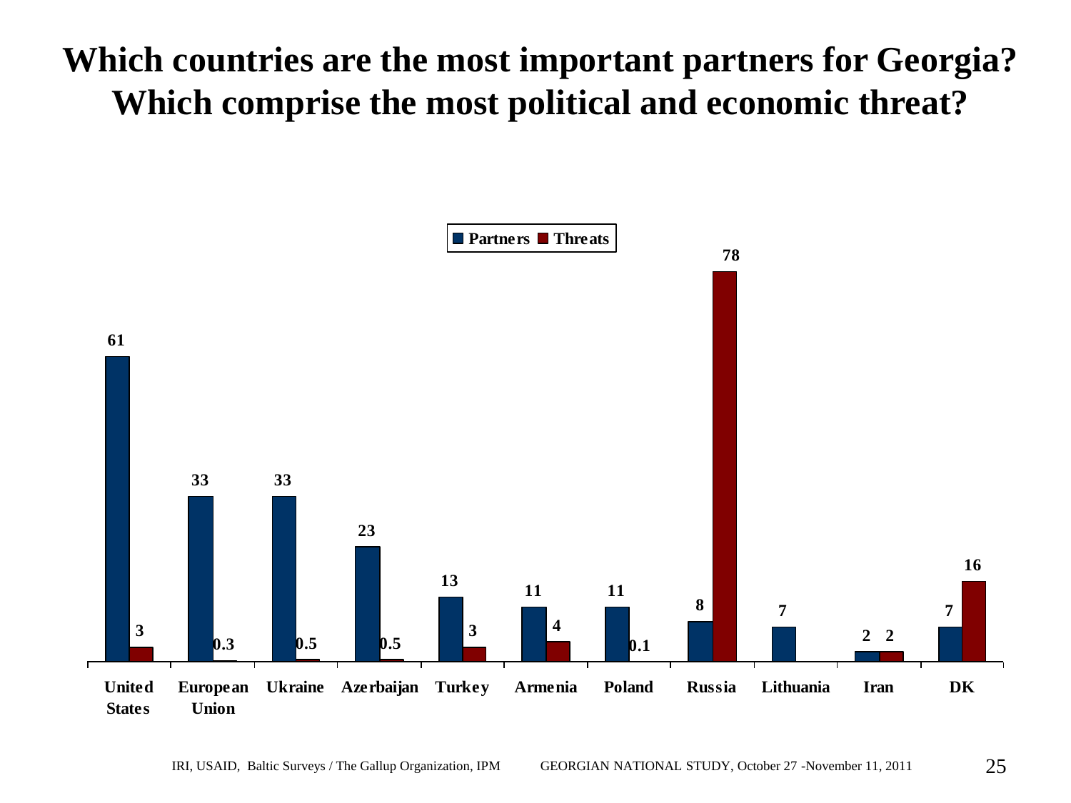### **Which countries are the most important partners for Georgia? Which comprise the most political and economic threat?**

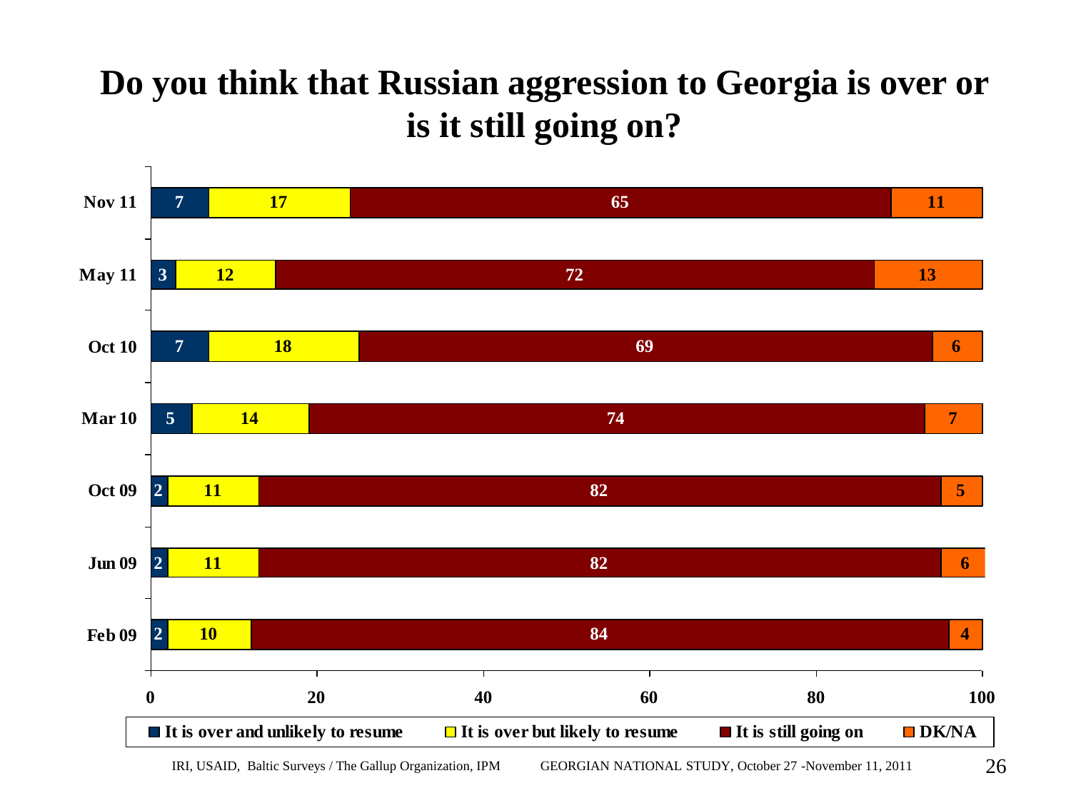#### **Do you think that Russian aggression to Georgia is over or is it still going on?**

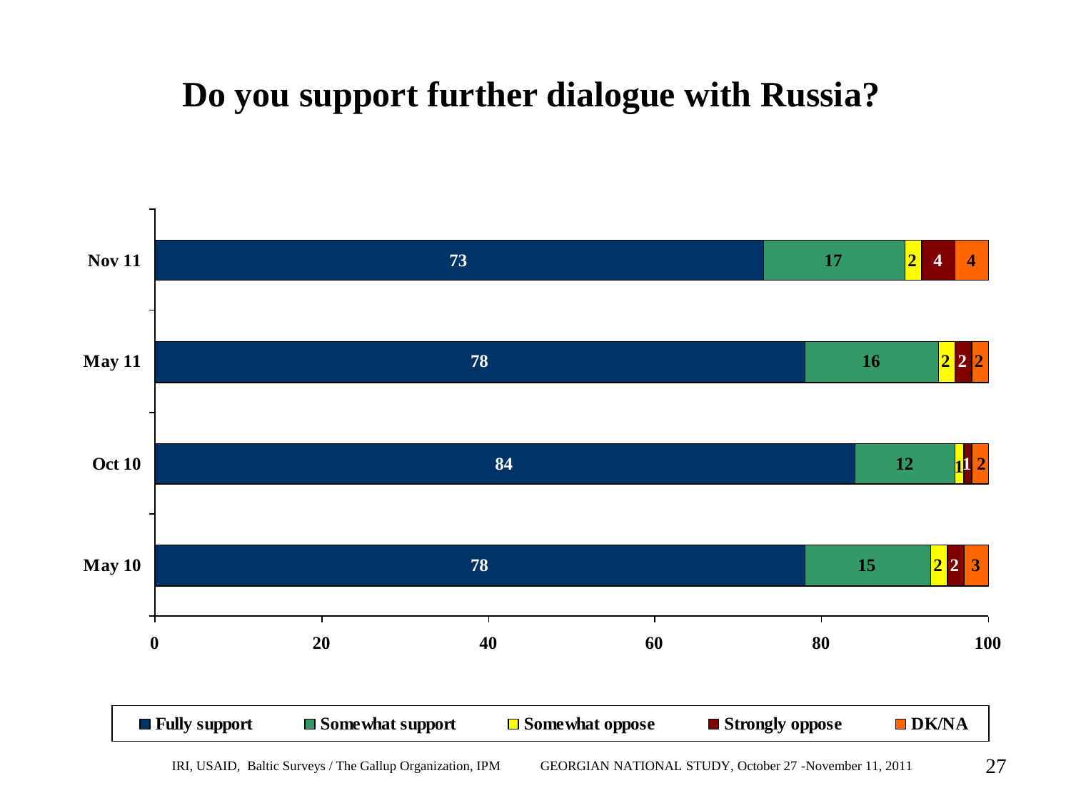#### **Do you support further dialogue with Russia?**

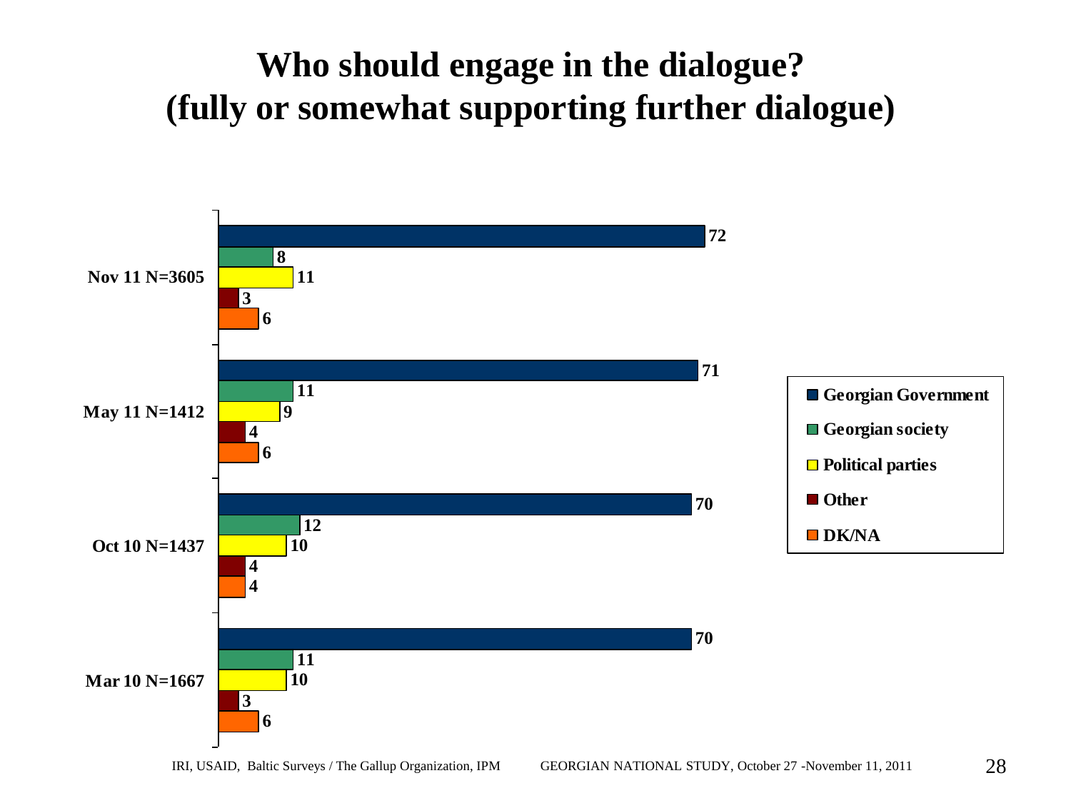## **Who should engage in the dialogue? (fully or somewhat supporting further dialogue)**

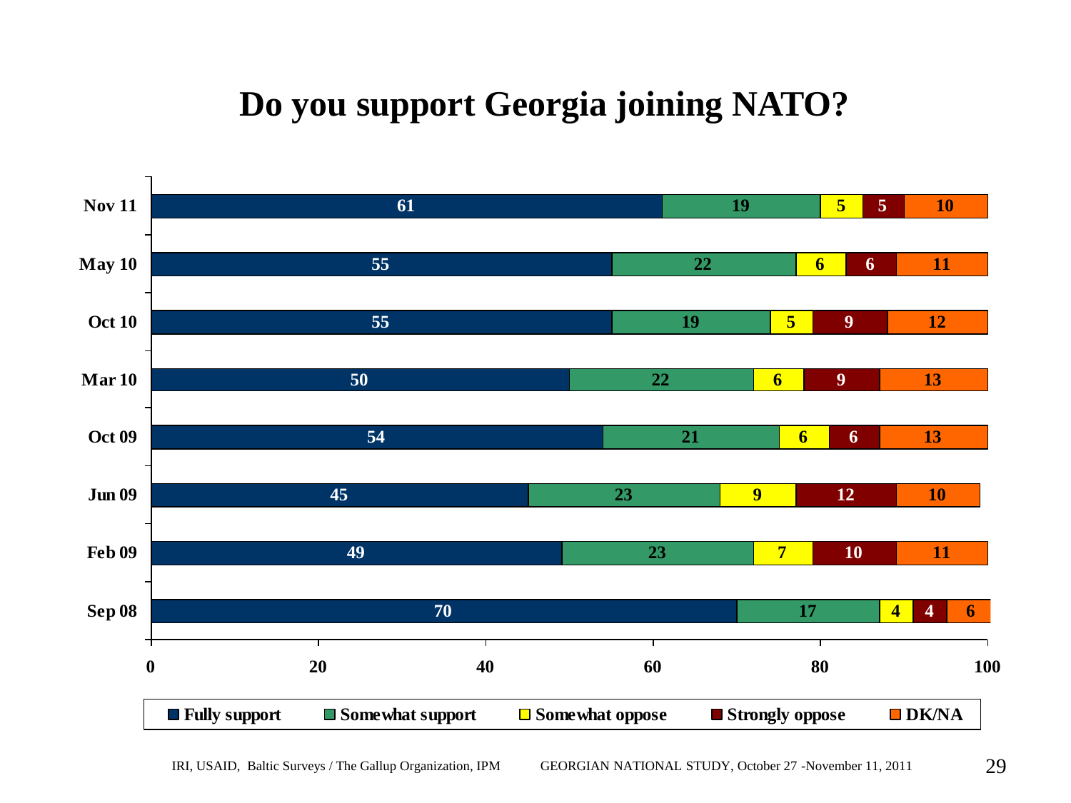# **Do you support Georgia joining NATO?**

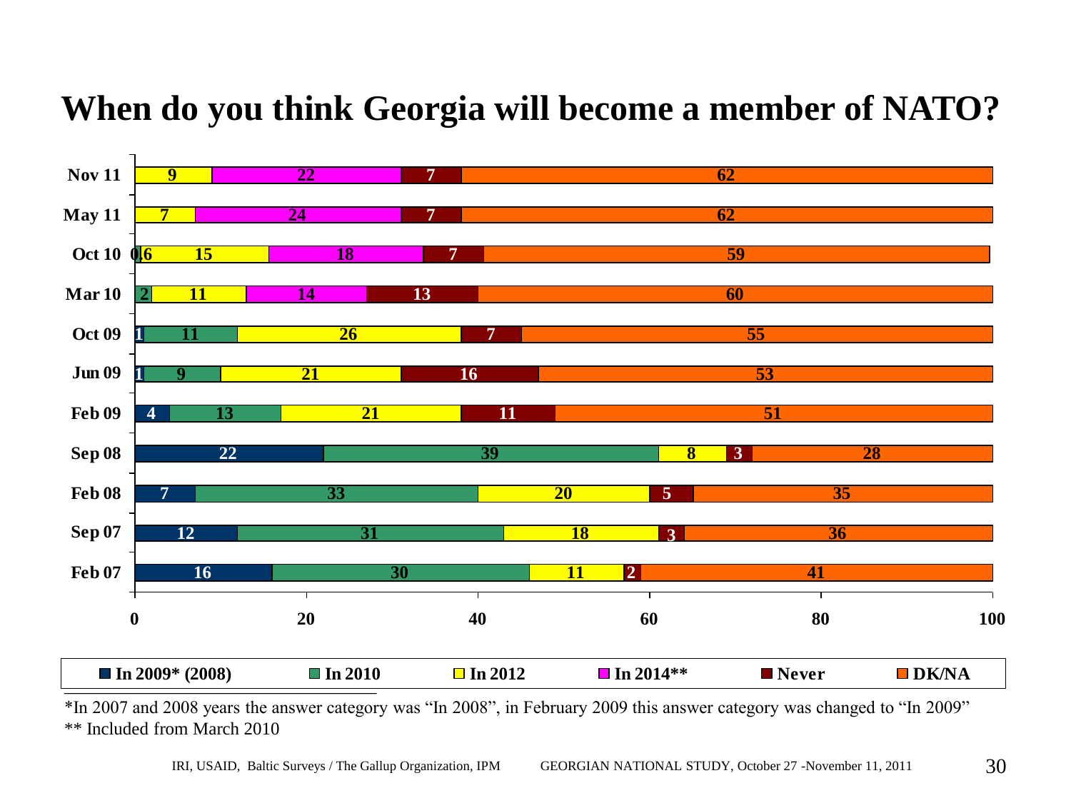#### **When do you think Georgia will become a member of NATO?**



\*In 2007 and 2008 years the answer category was "In 2008", in February 2009 this answer category was changed to "In 2009" \*\* Included from March 2010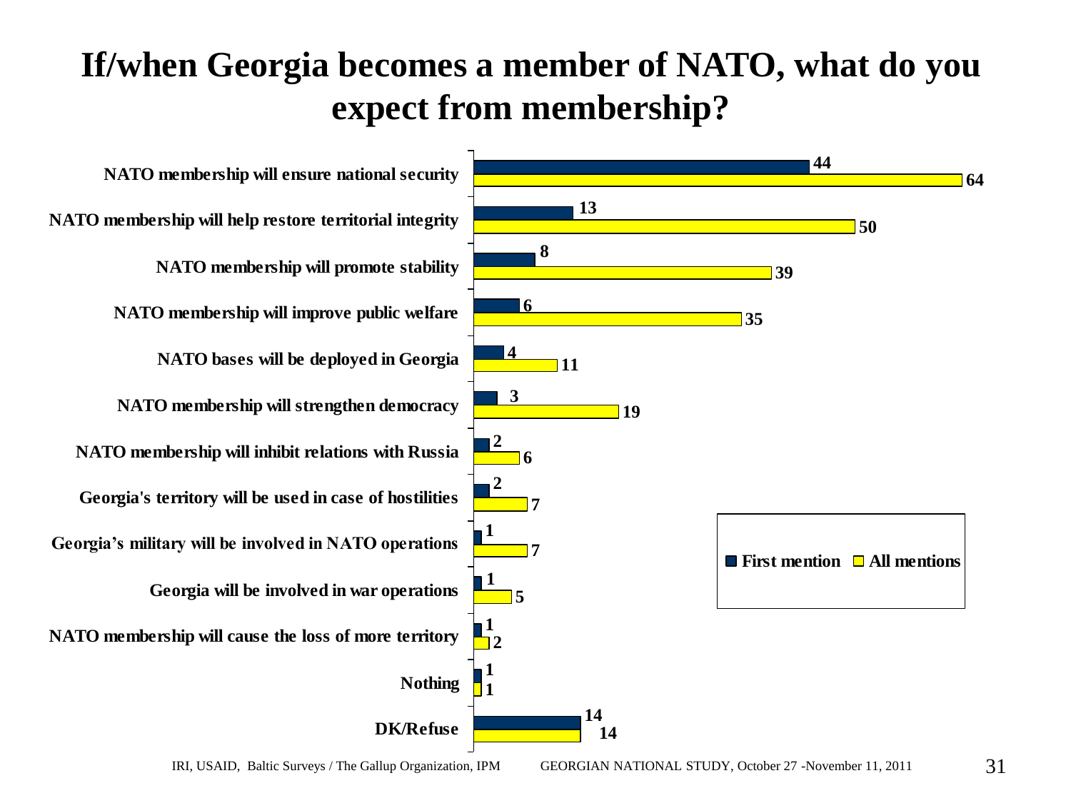### **If/when Georgia becomes a member of NATO, what do you expect from membership?**

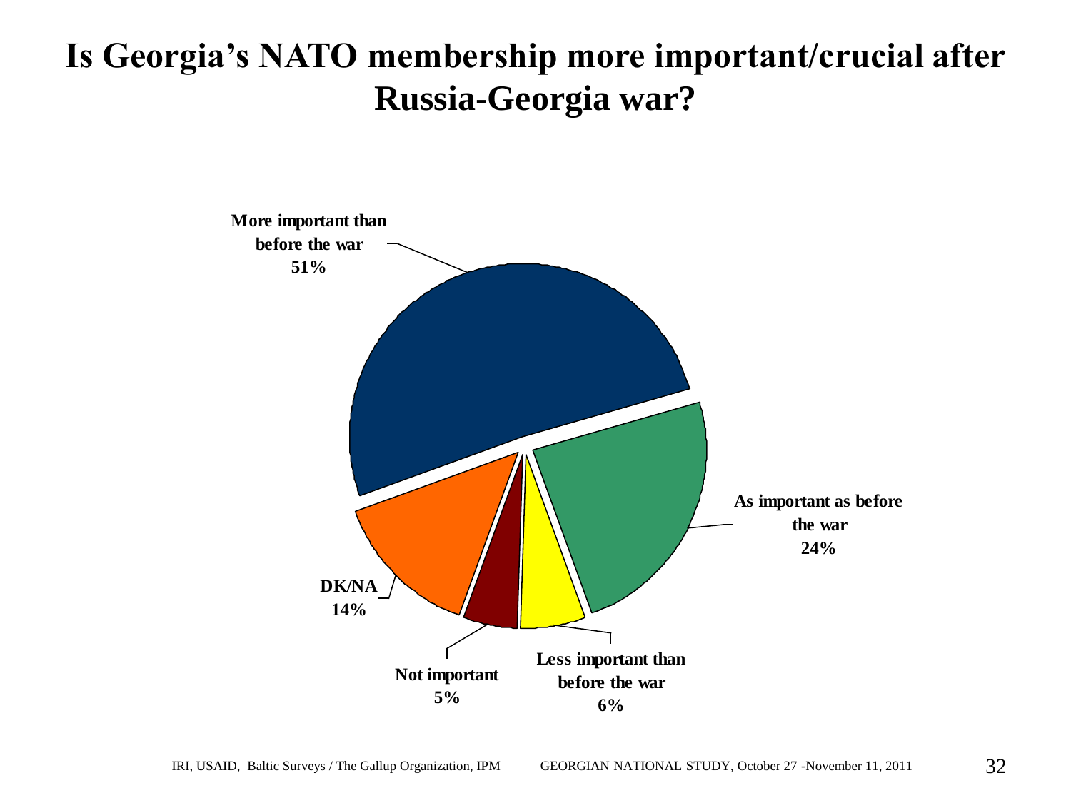#### **Is Georgia's NATO membership more important/crucial after Russia-Georgia war?**

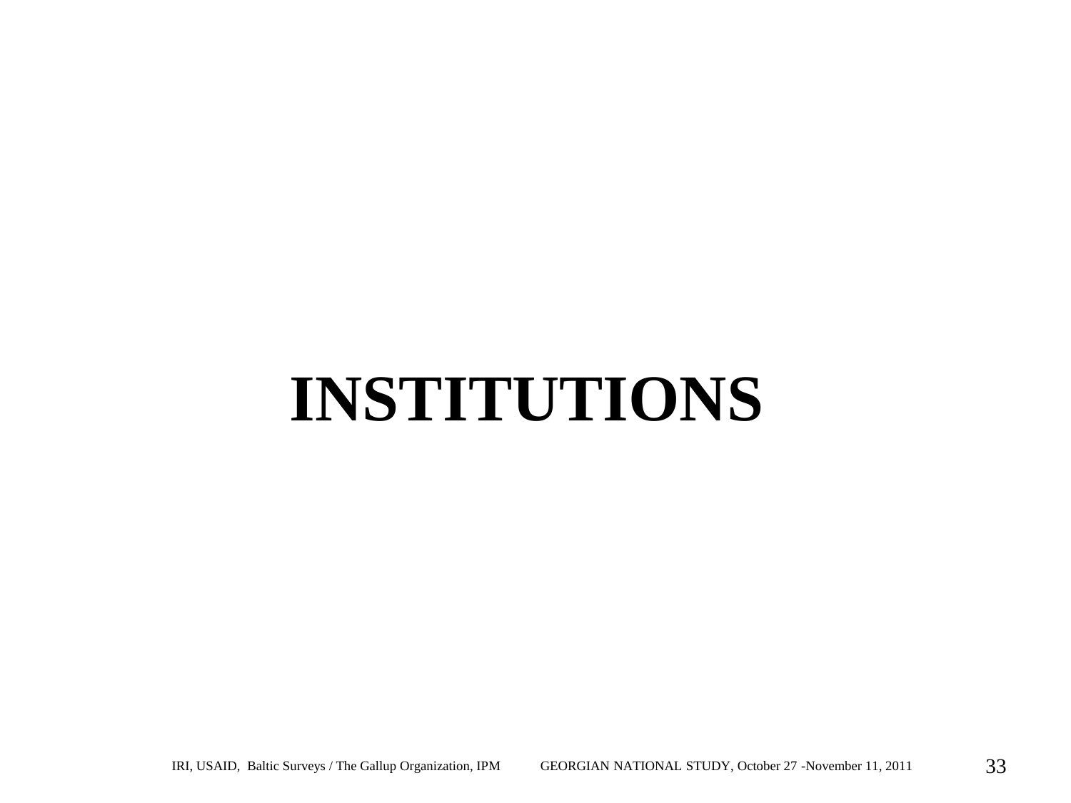# **INSTITUTIONS**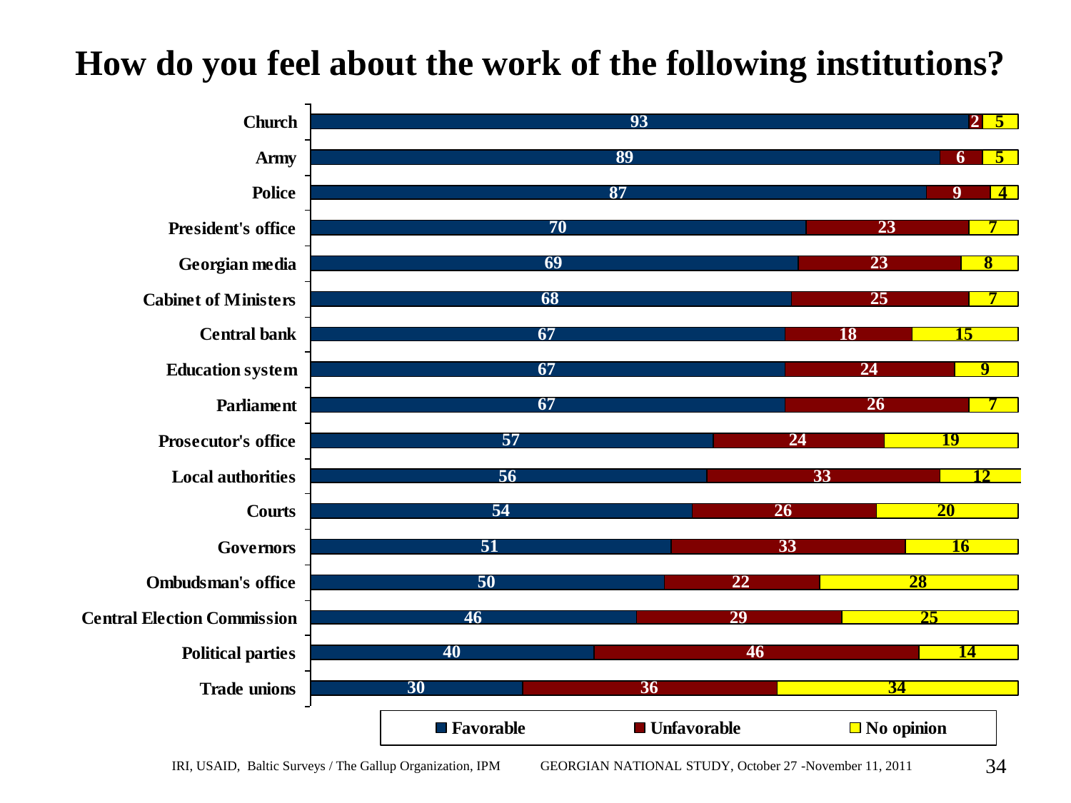#### **How do you feel about the work of the following institutions?**

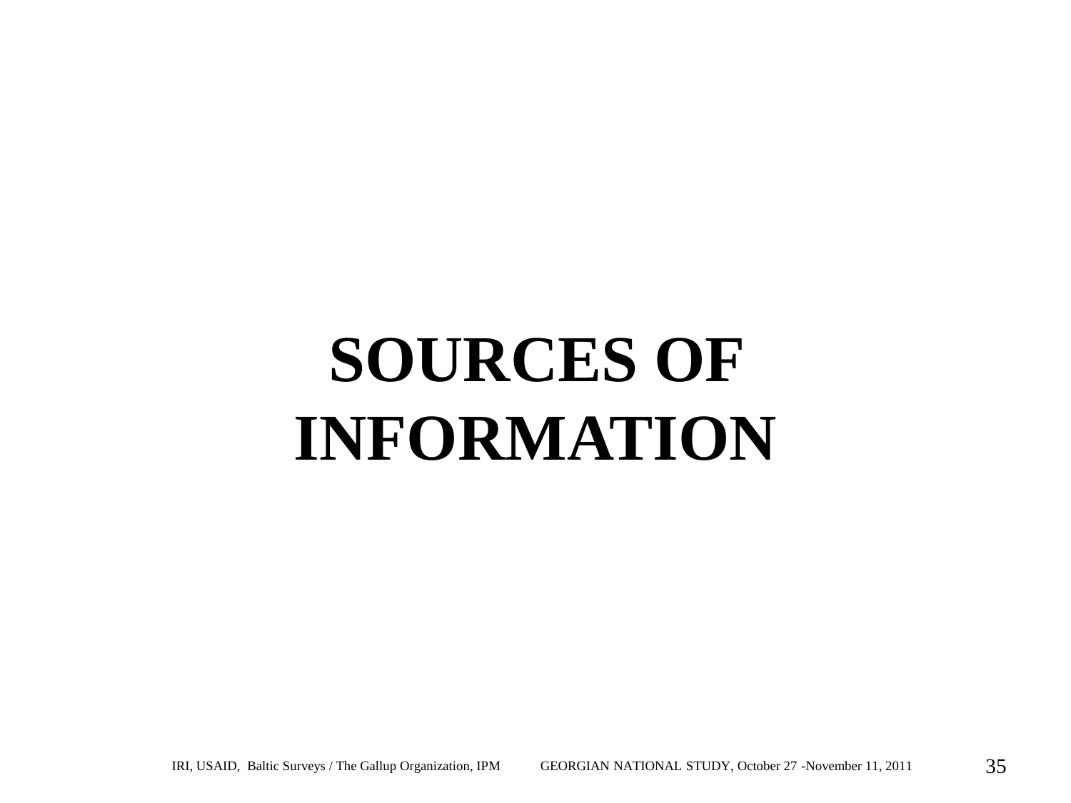# **SOURCES OF INFORMATION**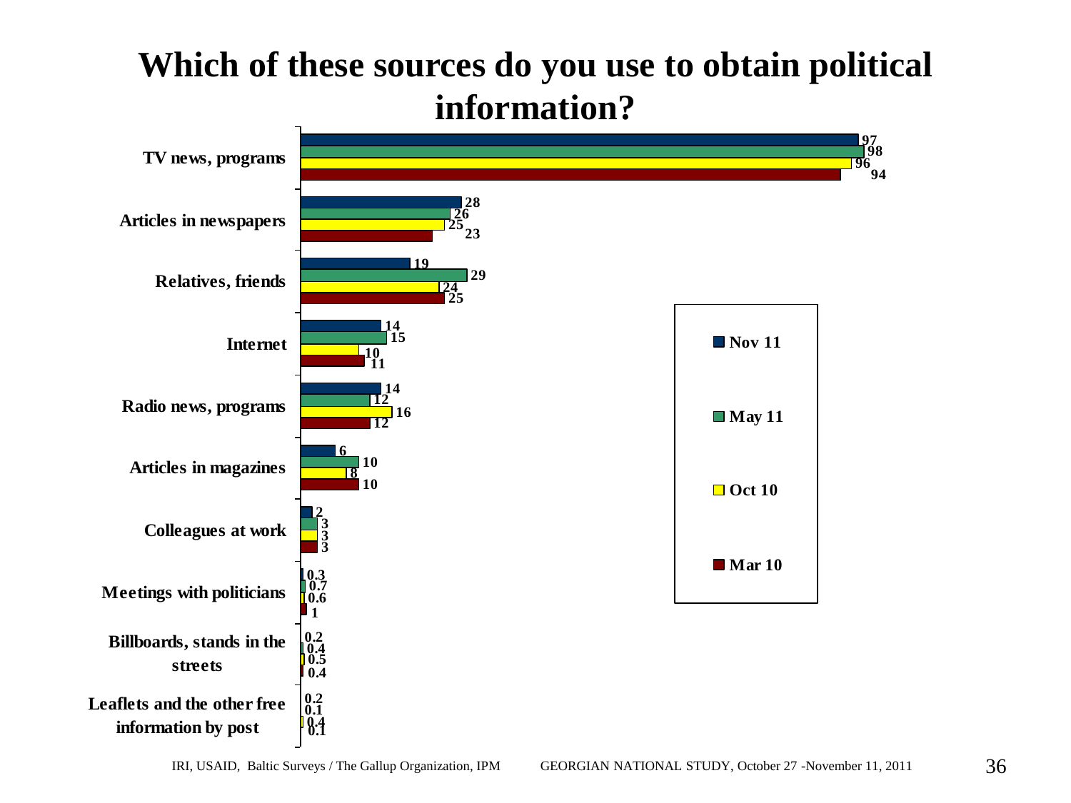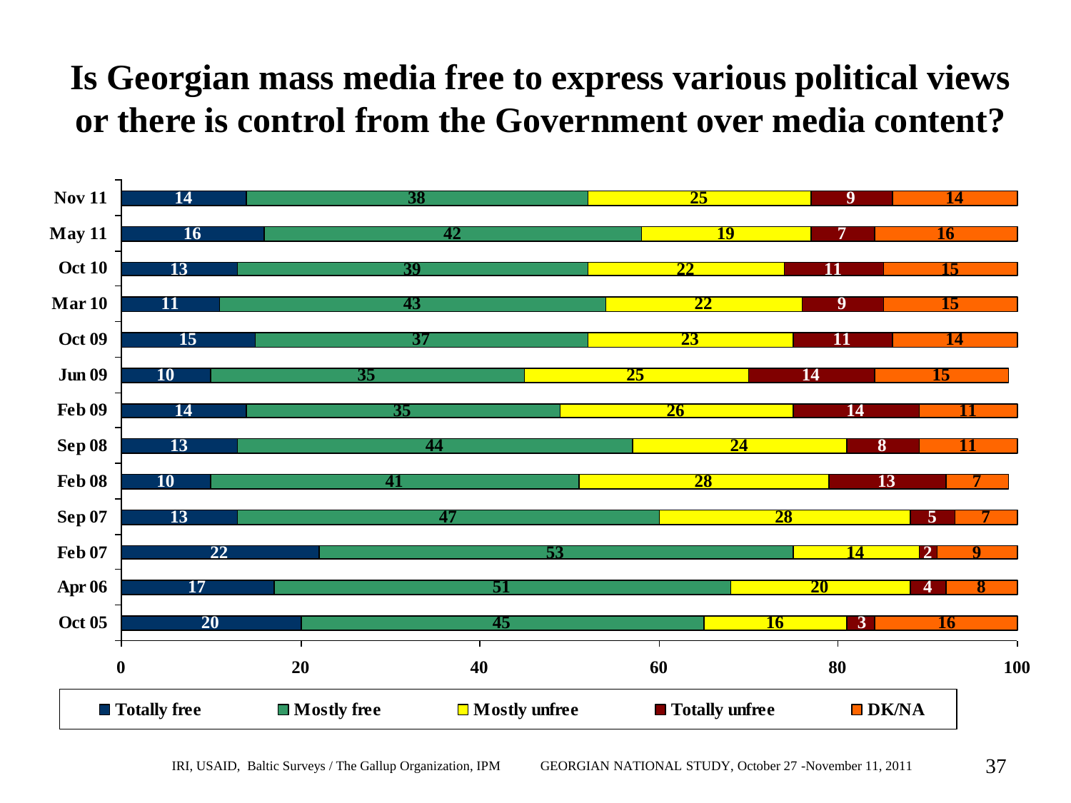### **Is Georgian mass media free to express various political views or there is control from the Government over media content?**

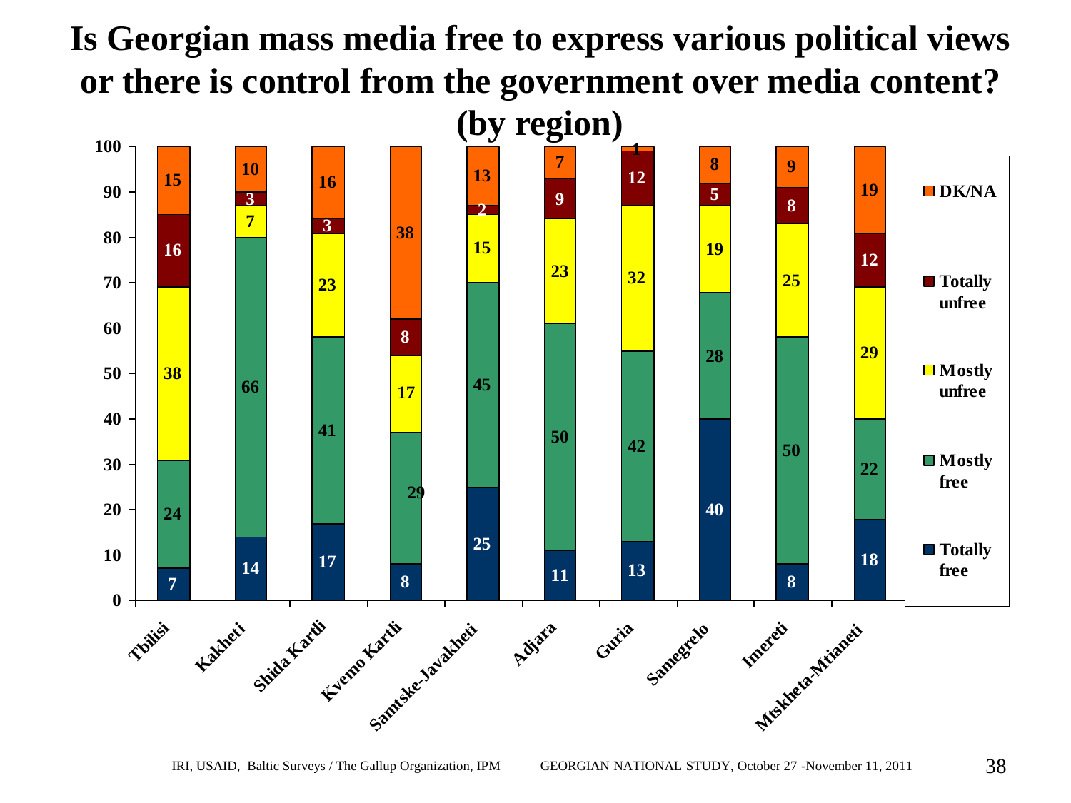# **Is Georgian mass media free to express various political views or there is control from the government over media content?**

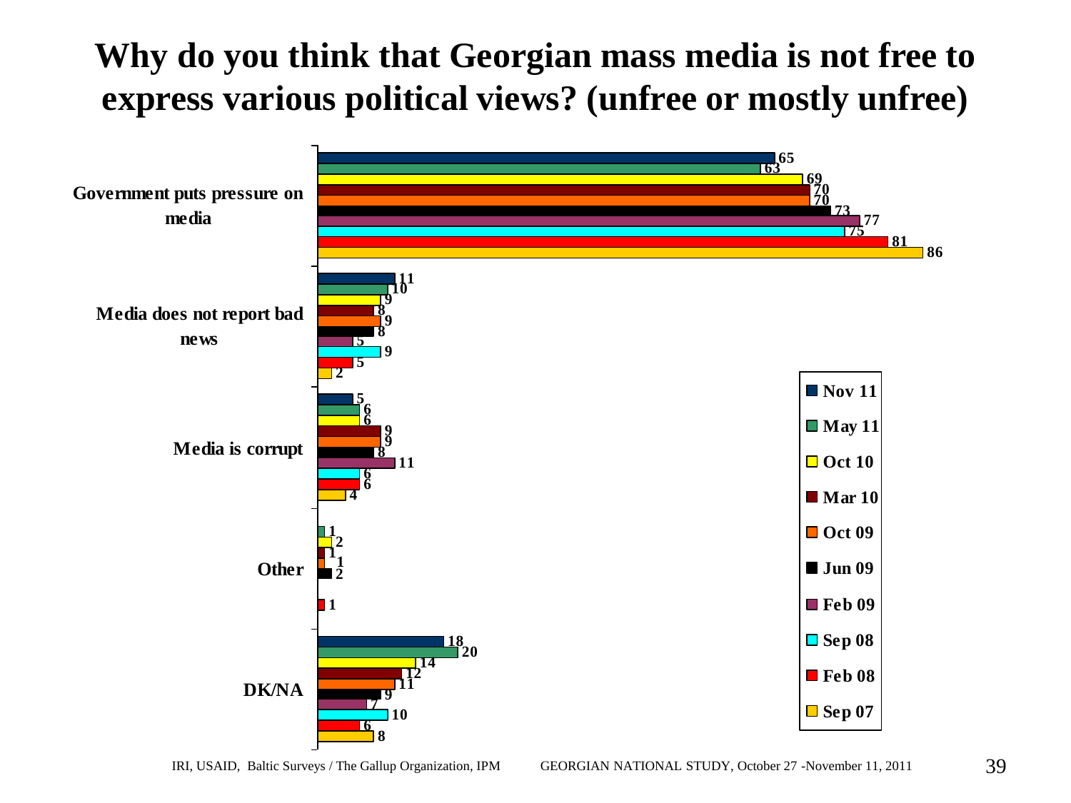# **Why do you think that Georgian mass media is not free to express various political views? (unfree or mostly unfree) 65**<br>**65**<br><u>65</u>

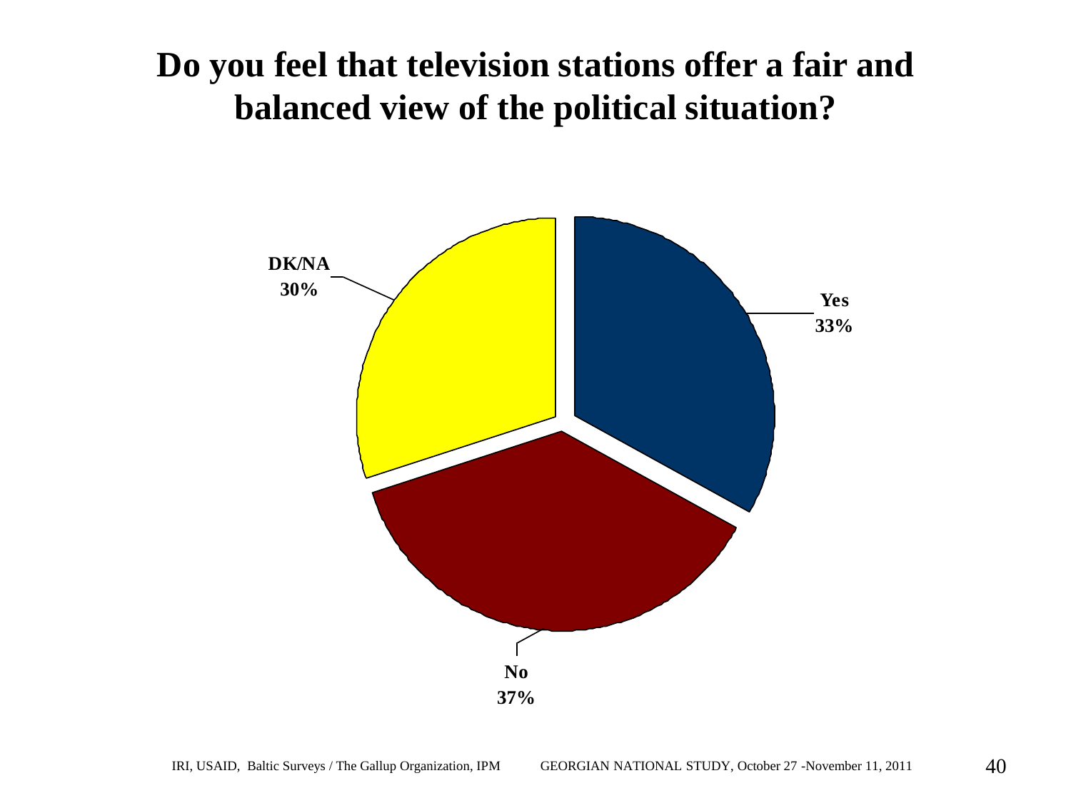#### **Do you feel that television stations offer a fair and balanced view of the political situation?**

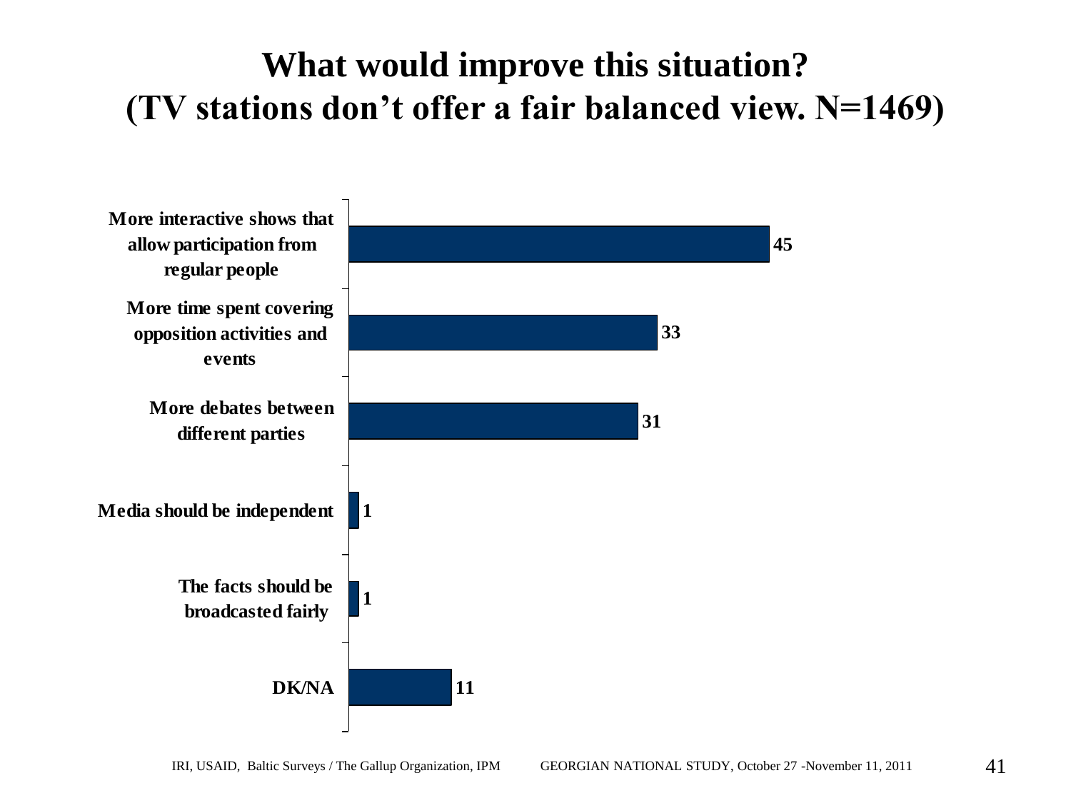# **What would improve this situation? (TV stations don't offer a fair balanced view. N=1469)**

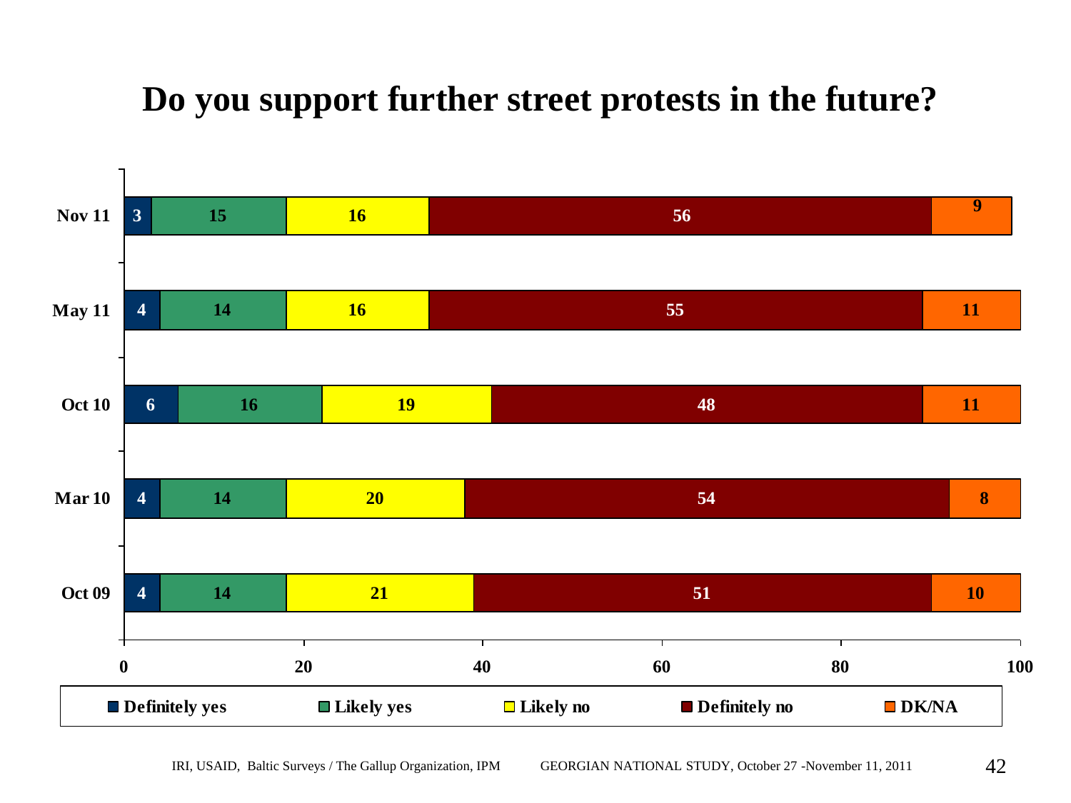### **Do you support further street protests in the future?**

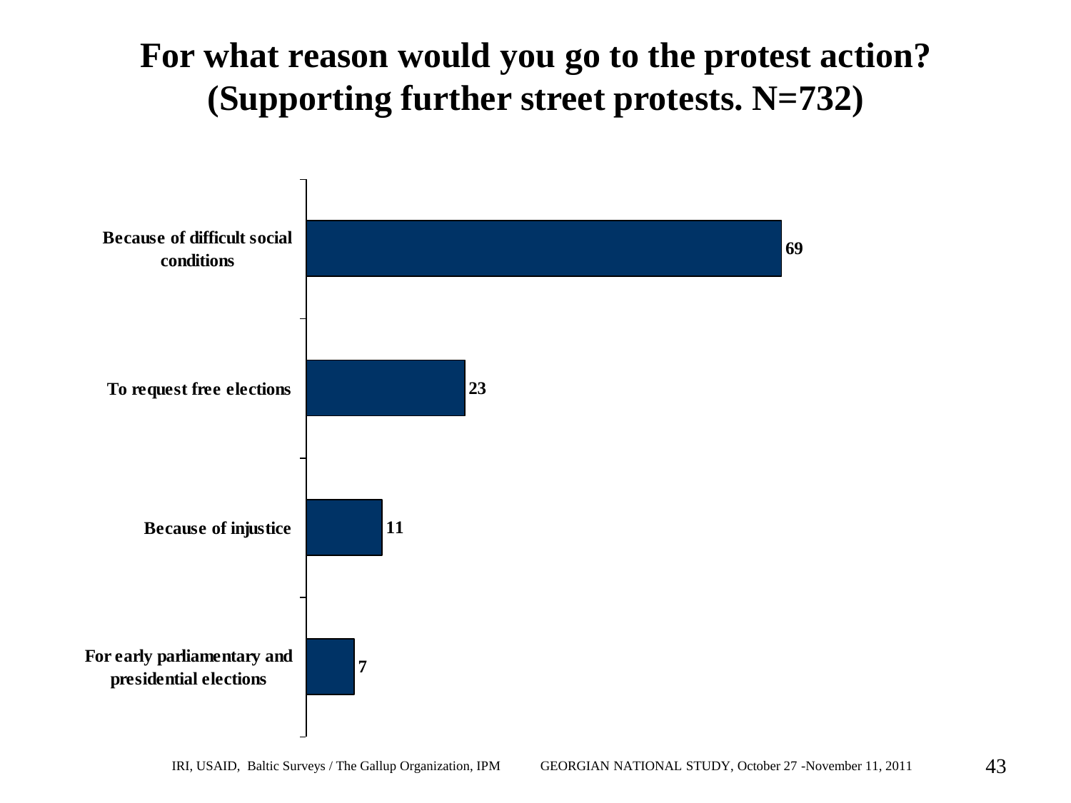### **For what reason would you go to the protest action? (Supporting further street protests. N=732)**

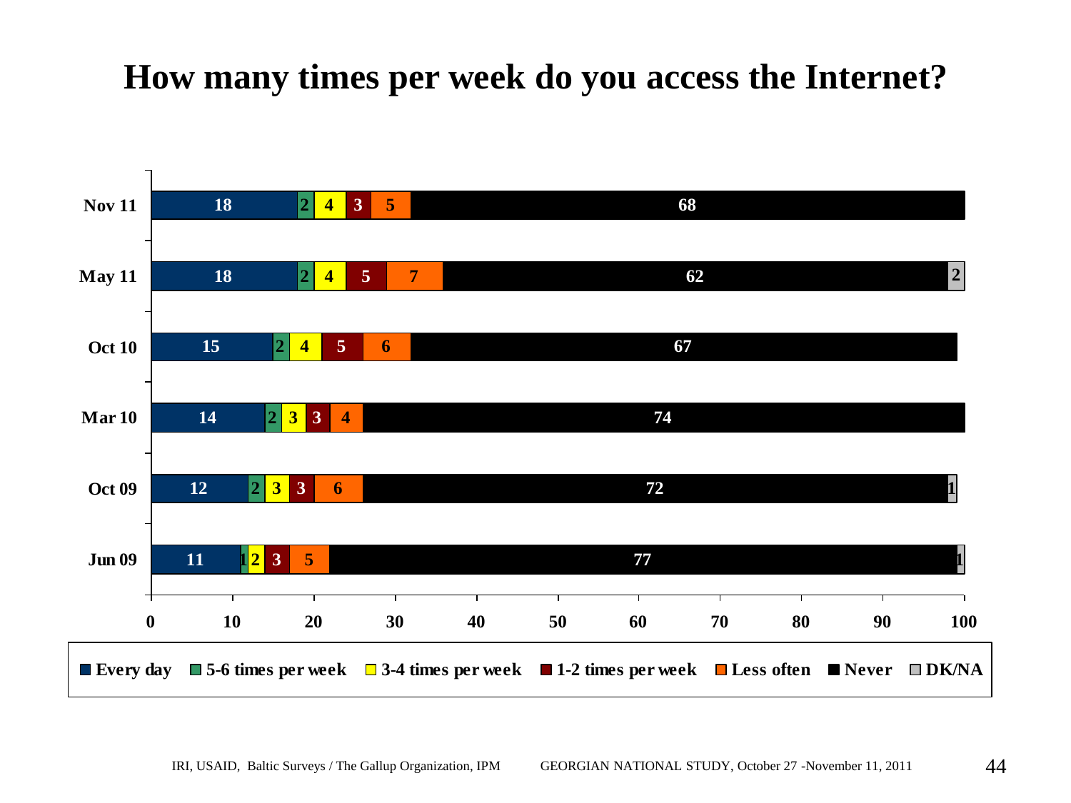#### **How many times per week do you access the Internet?**

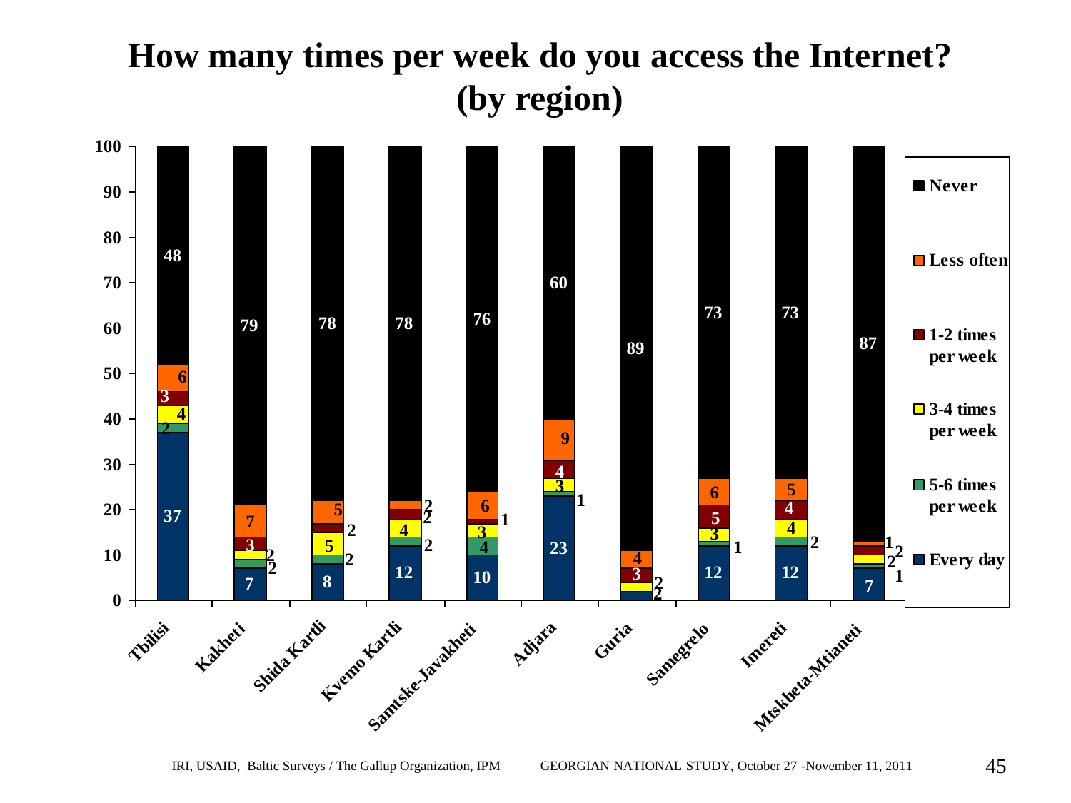# **How many times per week do you access the Internet? (by region)**

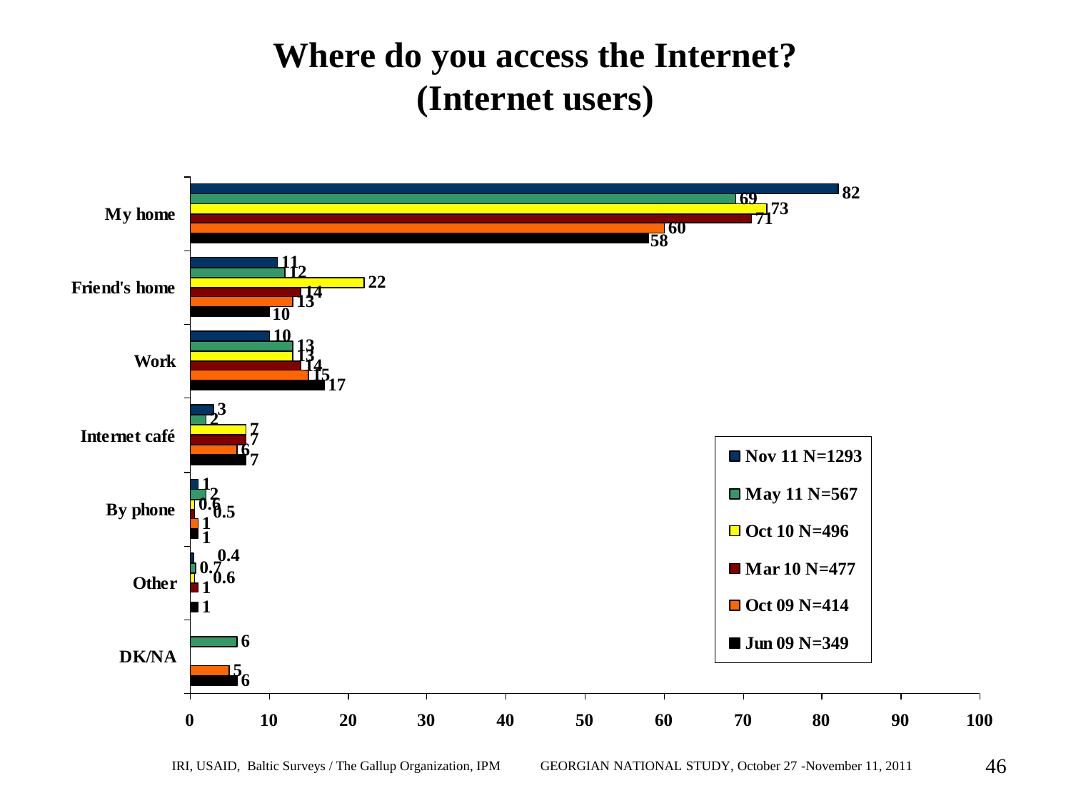#### **Where do you access the Internet? (Internet users)**

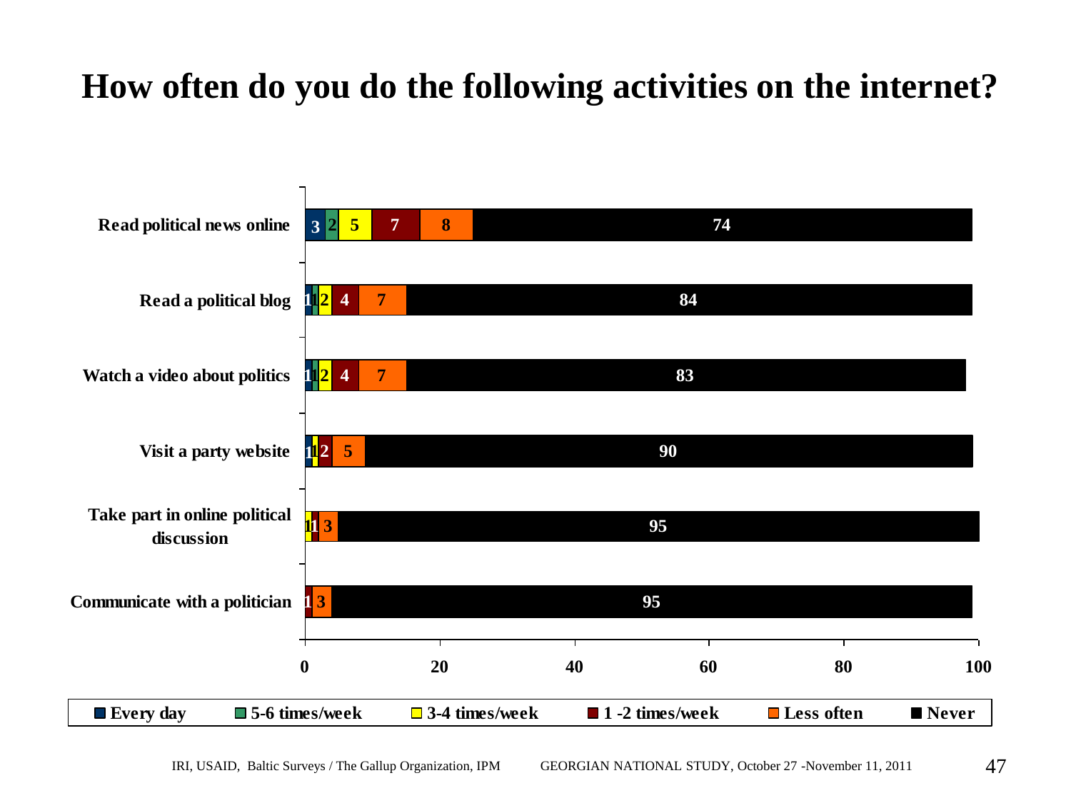# **How often do you do the following activities on the internet?**

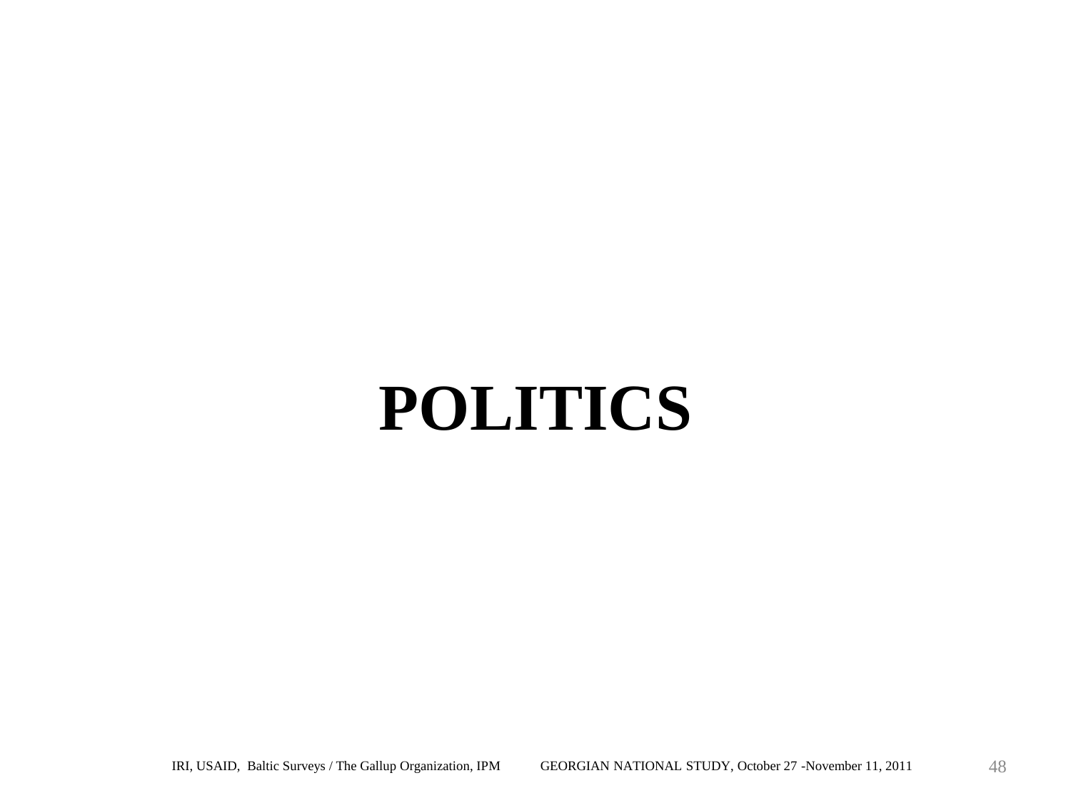# **POLITICS**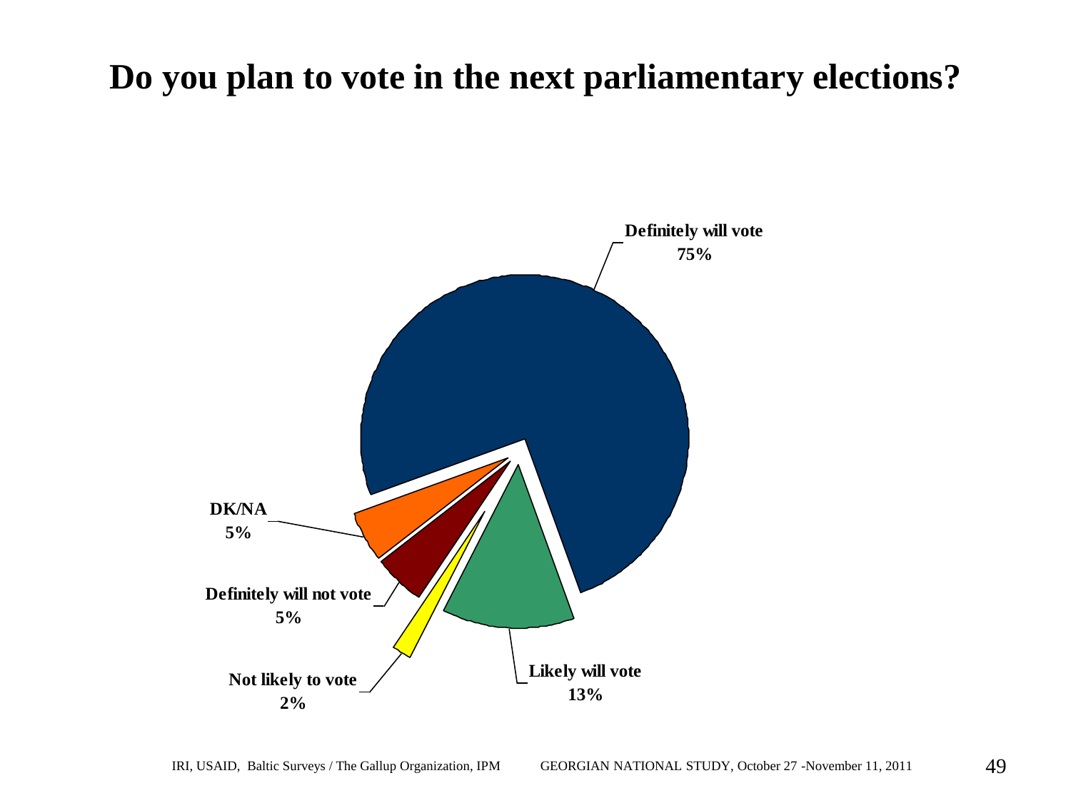#### **Do you plan to vote in the next parliamentary elections?**

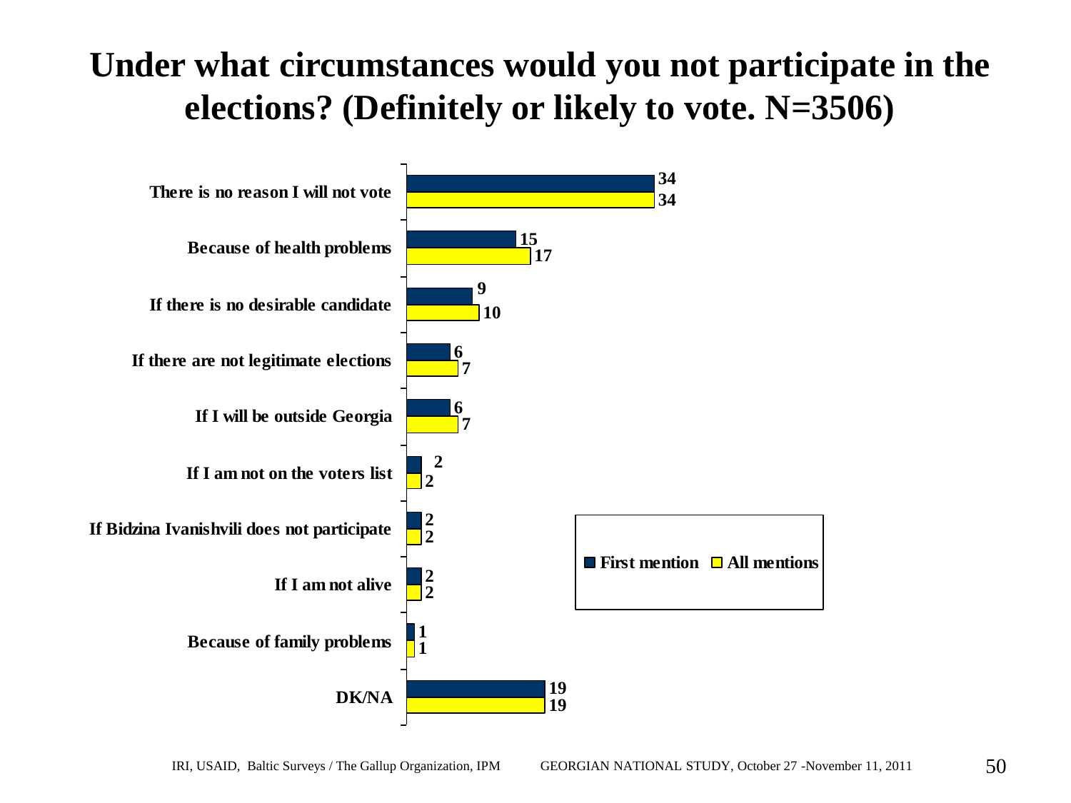### **Under what circumstances would you not participate in the elections? (Definitely or likely to vote. N=3506)**

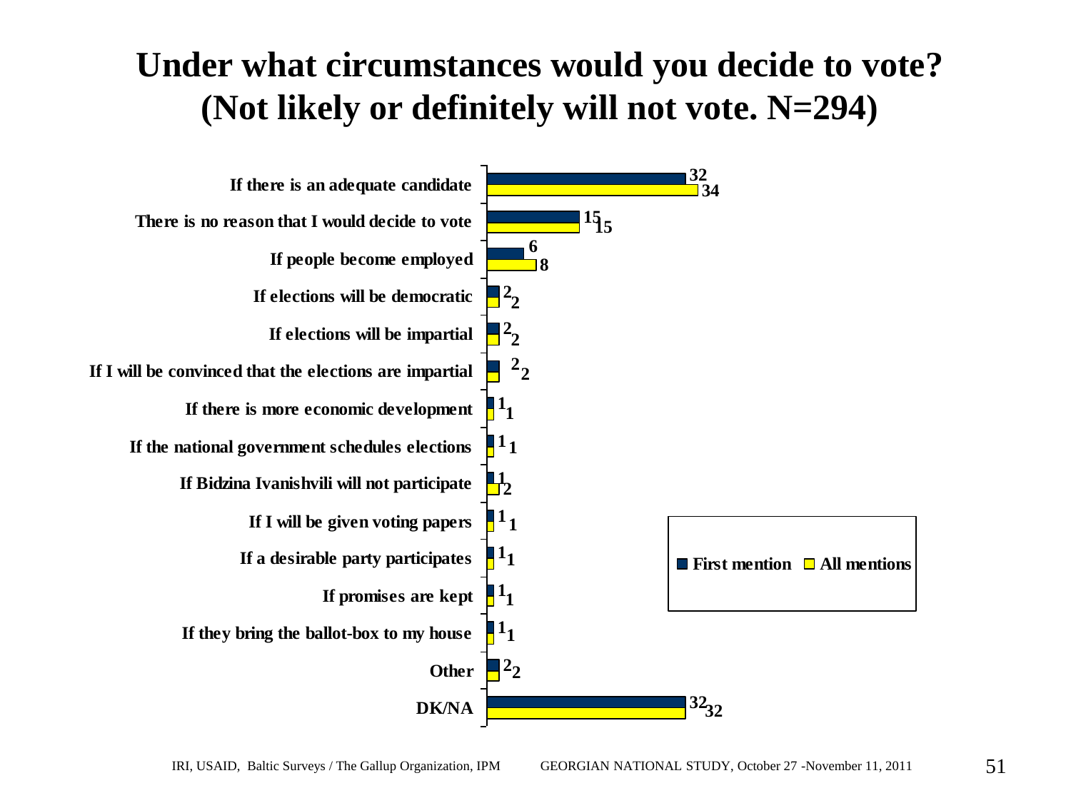### **Under what circumstances would you decide to vote? (Not likely or definitely will not vote. N=294)**

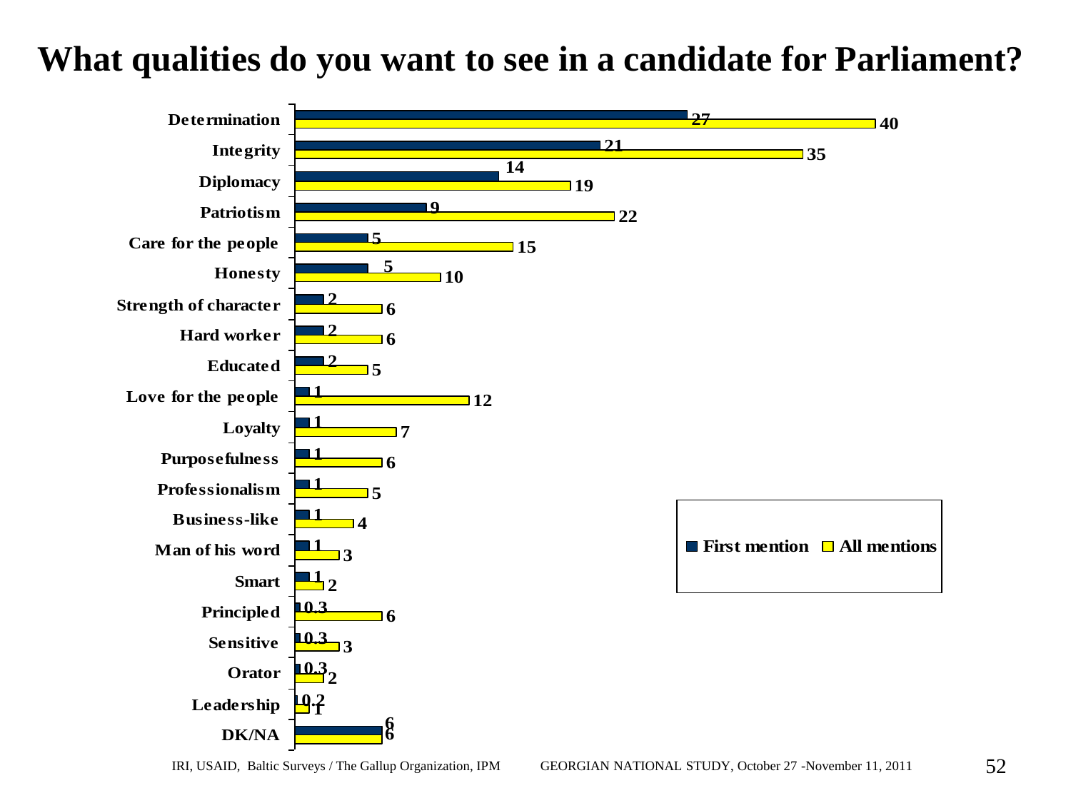#### **What qualities do you want to see in a candidate for Parliament?**

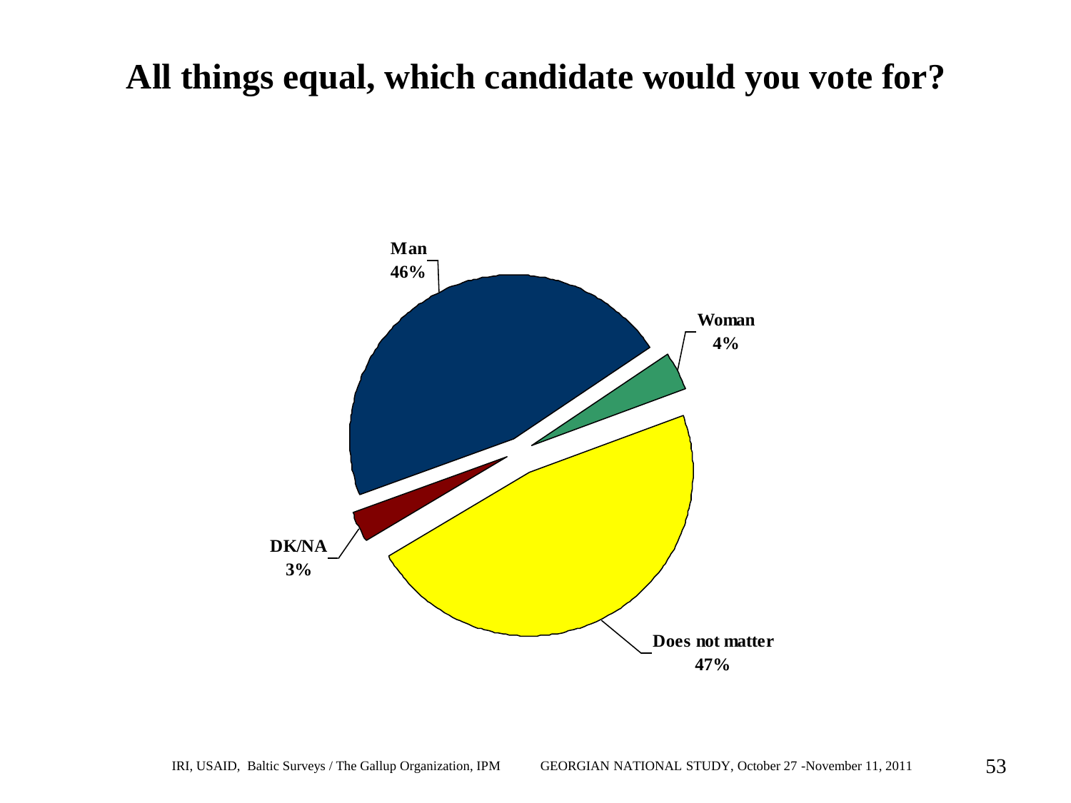#### **All things equal, which candidate would you vote for?**

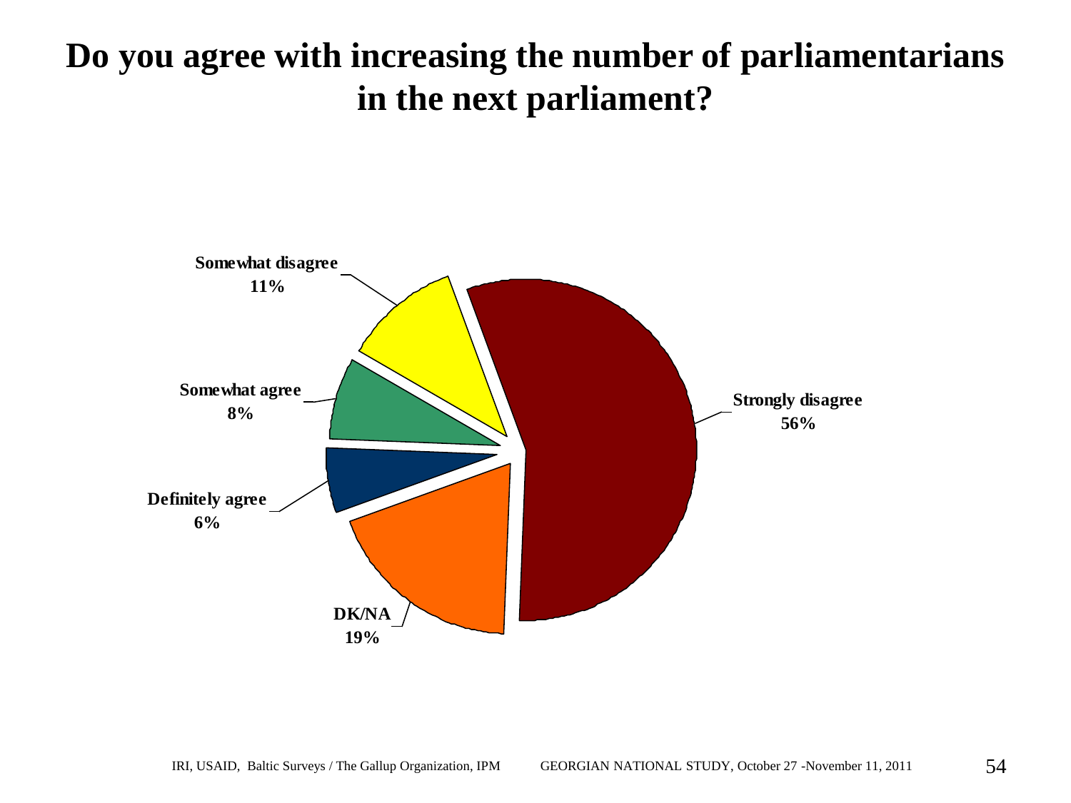#### **Do you agree with increasing the number of parliamentarians in the next parliament?**

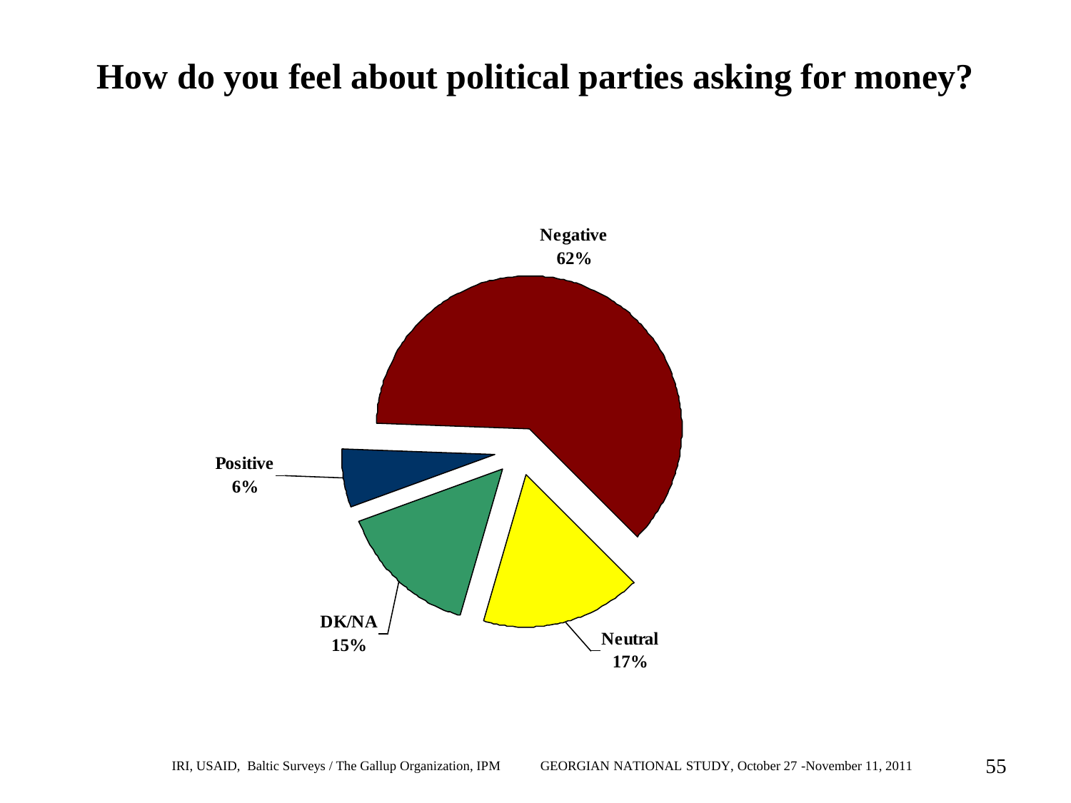#### **How do you feel about political parties asking for money?**

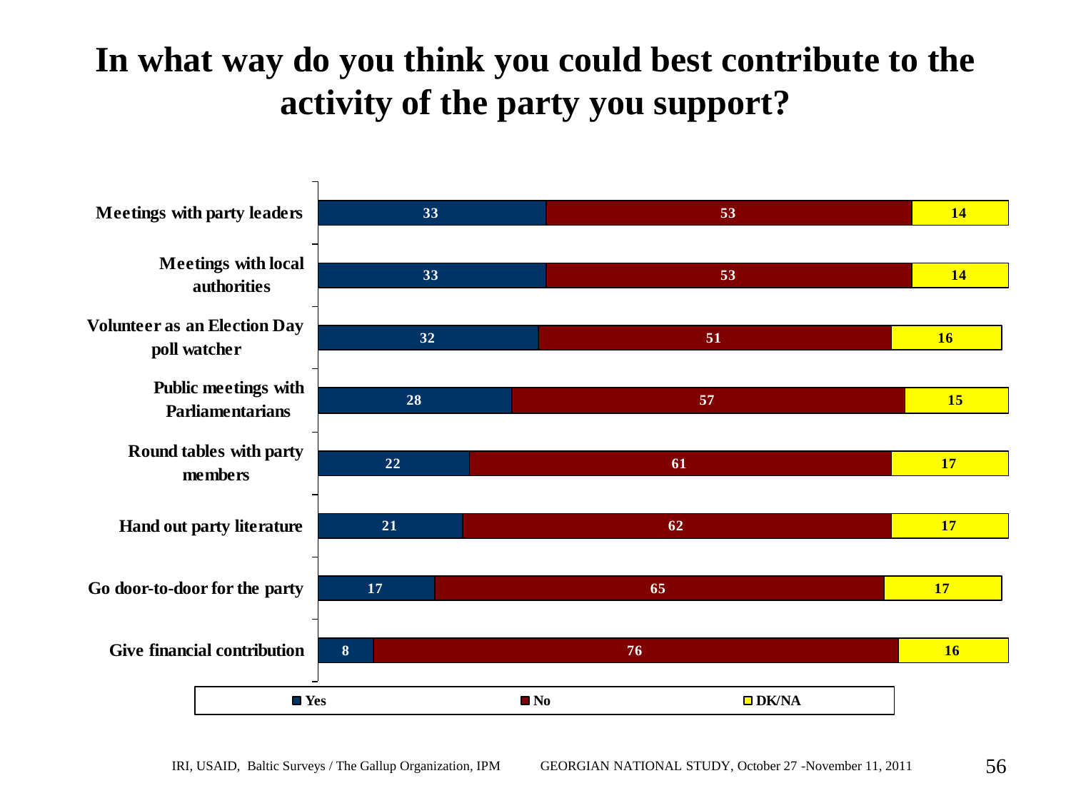### **In what way do you think you could best contribute to the activity of the party you support?**

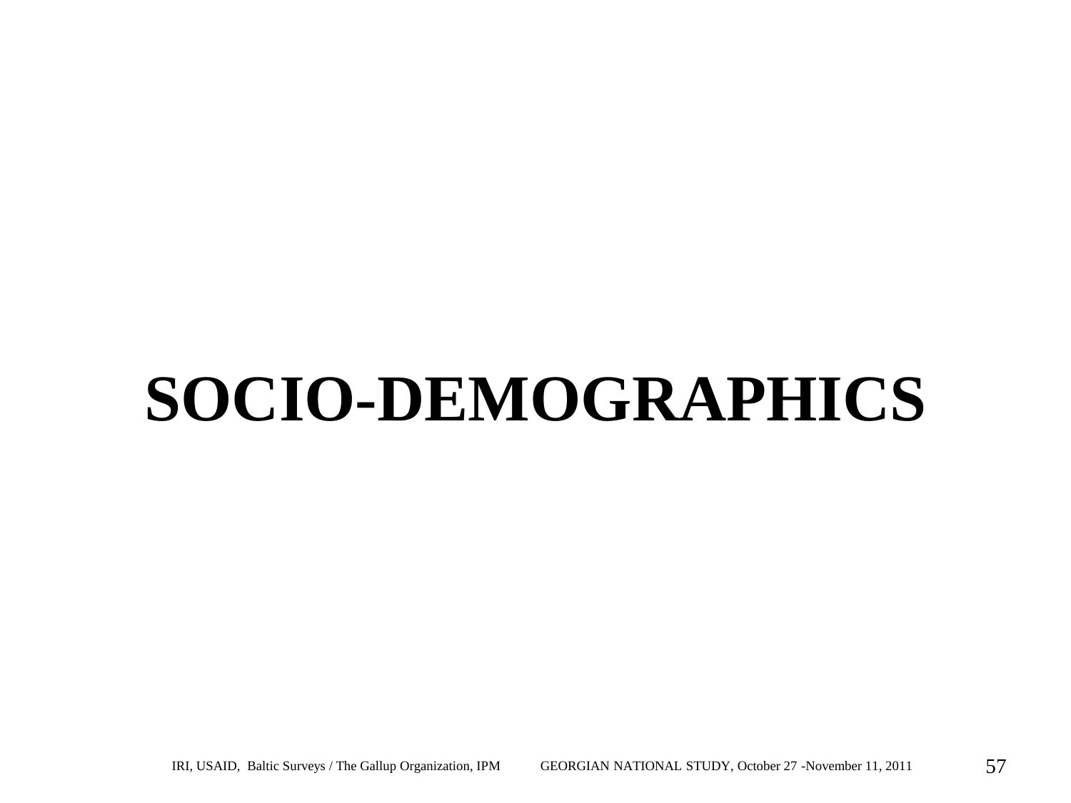# **SOCIO-DEMOGRAPHICS**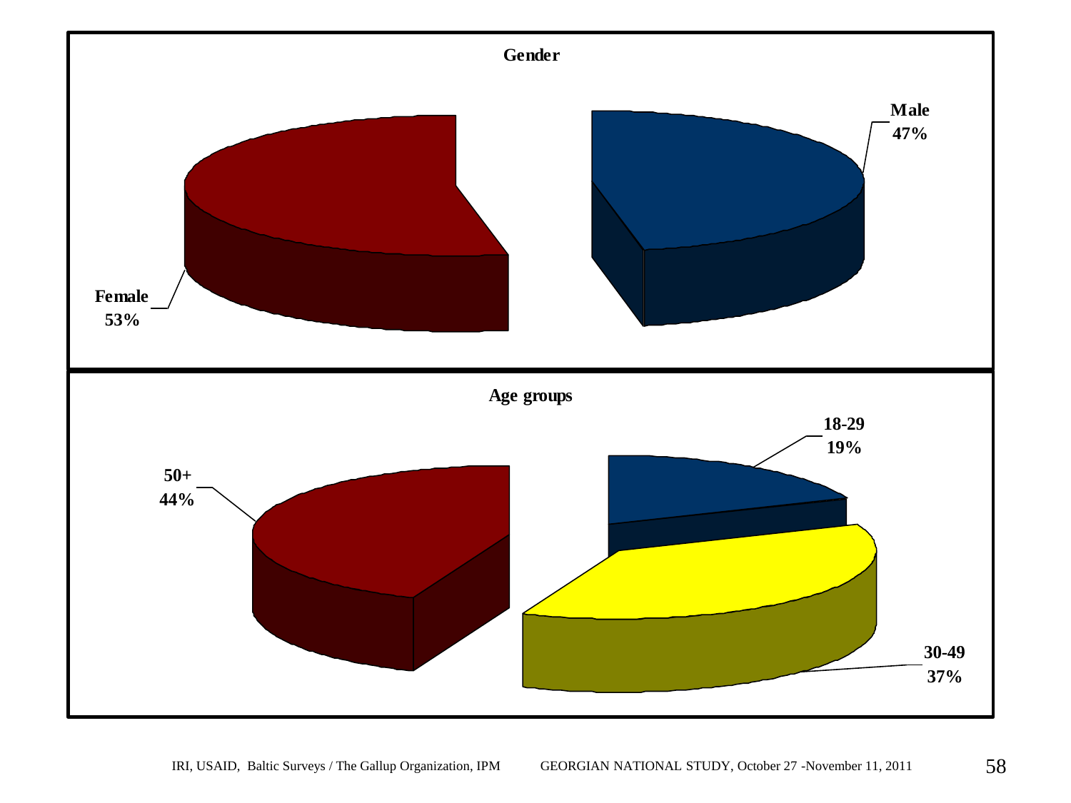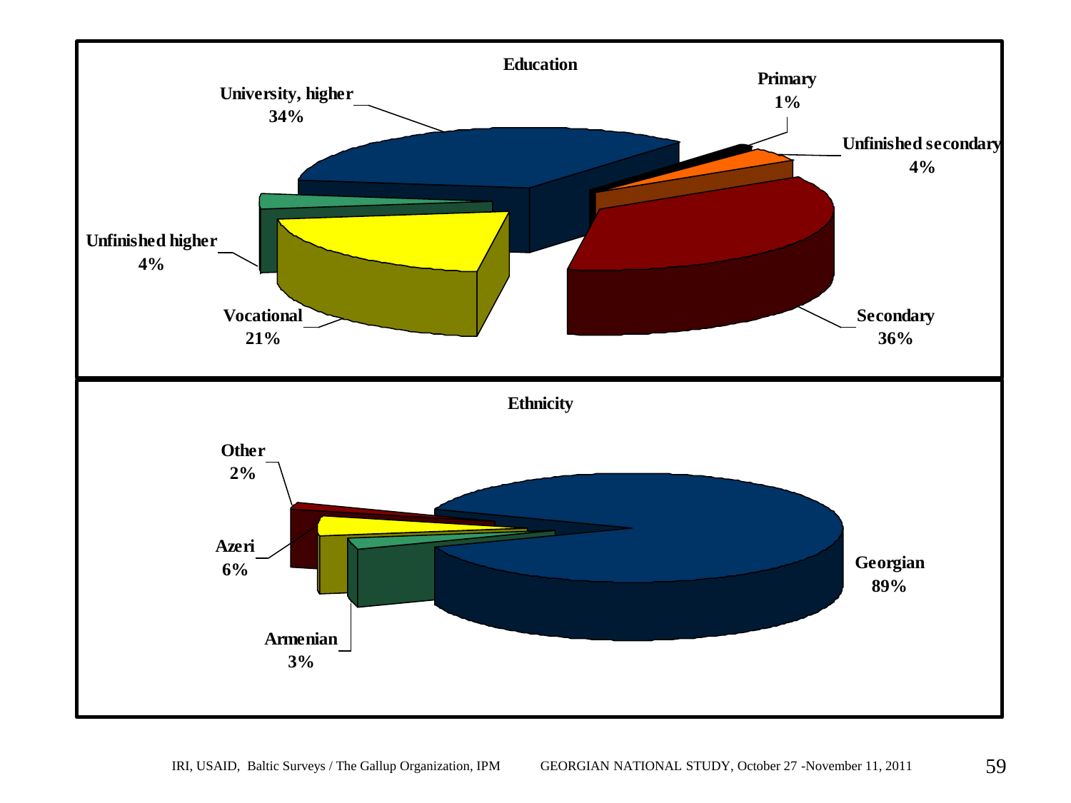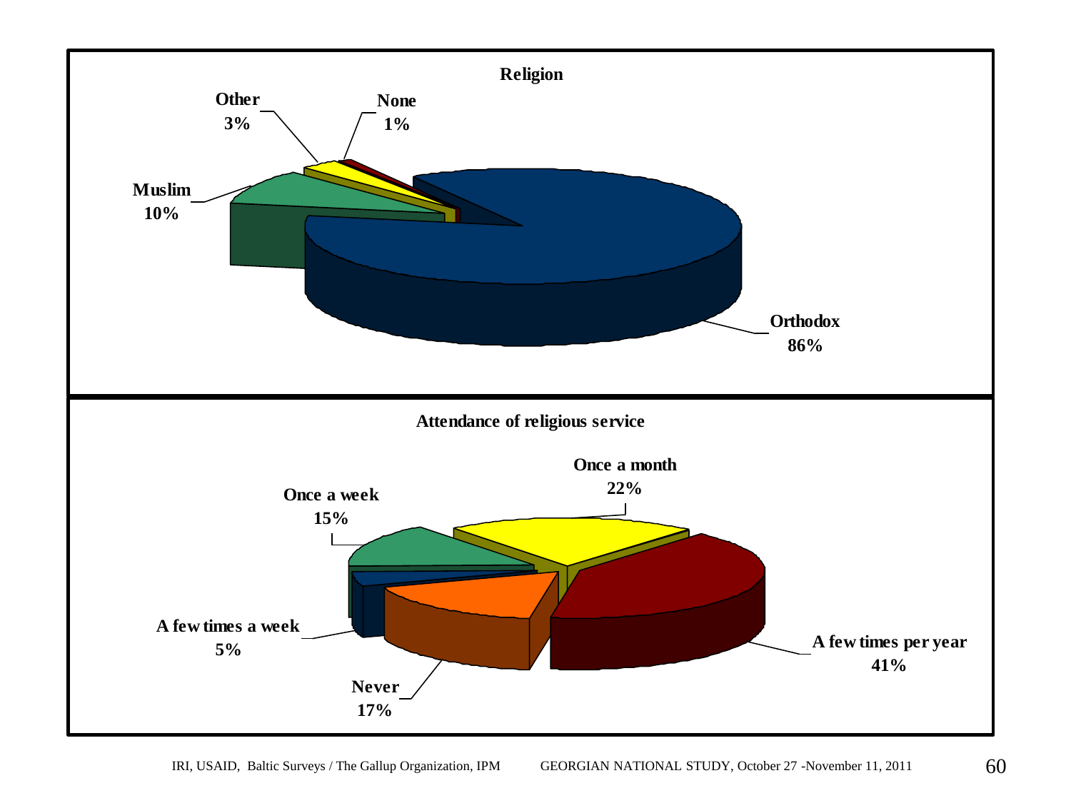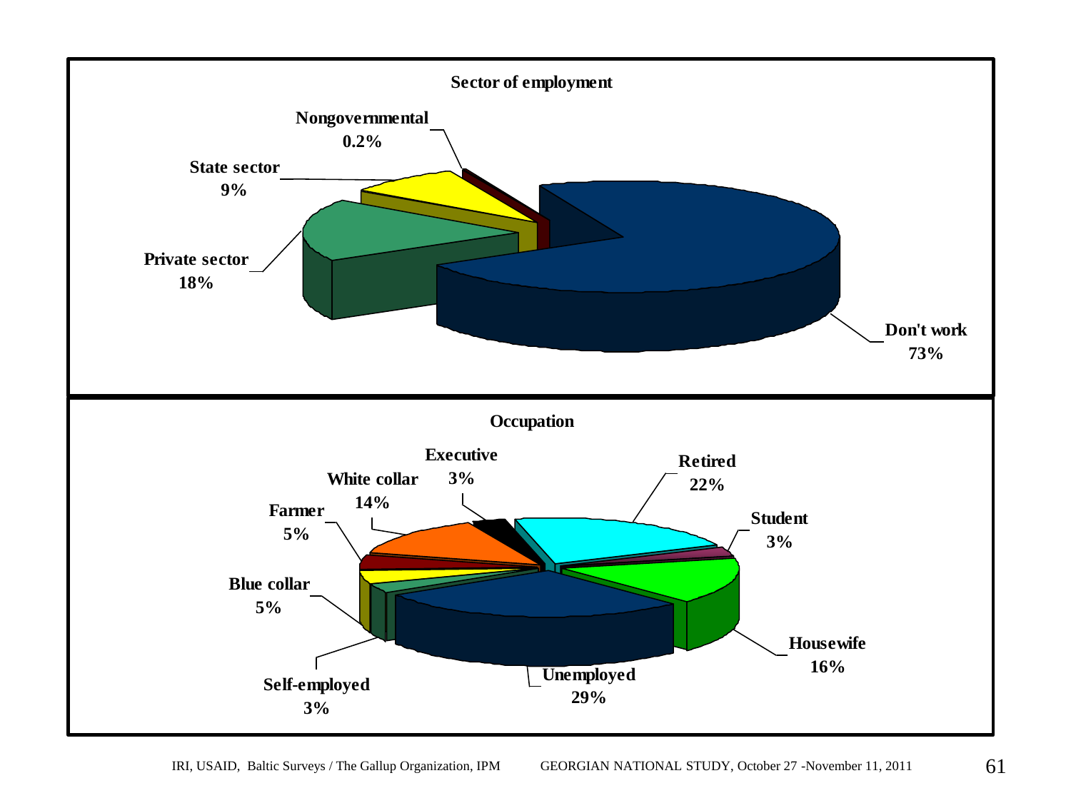